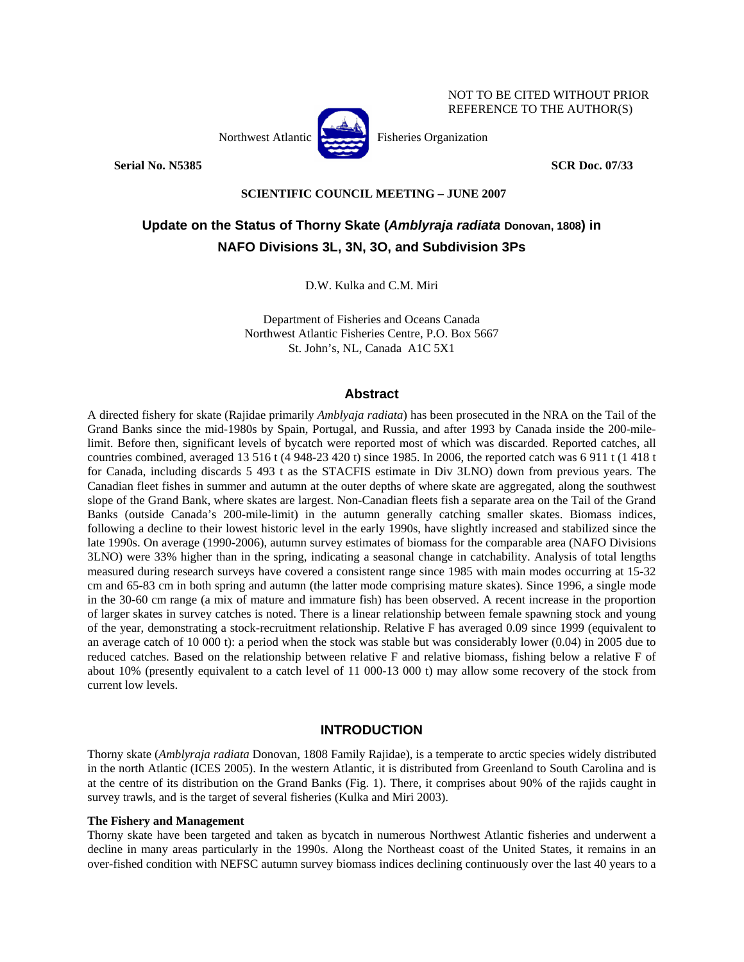

**Serial No. N5385 SCR Doc. 07/33** 

NOT TO BE CITED WITHOUT PRIOR REFERENCE TO THE AUTHOR(S)

# **SCIENTIFIC COUNCIL MEETING – JUNE 2007**

# **Update on the Status of Thorny Skate (***Amblyraja radiata* **Donovan, 1808) in NAFO Divisions 3L, 3N, 3O, and Subdivision 3Ps**

D.W. Kulka and C.M. Miri

Department of Fisheries and Oceans Canada Northwest Atlantic Fisheries Centre, P.O. Box 5667 St. John's, NL, Canada A1C 5X1

# **Abstract**

A directed fishery for skate (Rajidae primarily *Amblyaja radiata*) has been prosecuted in the NRA on the Tail of the Grand Banks since the mid-1980s by Spain, Portugal, and Russia, and after 1993 by Canada inside the 200-milelimit. Before then, significant levels of bycatch were reported most of which was discarded. Reported catches, all countries combined, averaged 13 516 t (4 948-23 420 t) since 1985. In 2006, the reported catch was 6 911 t (1 418 t for Canada, including discards 5 493 t as the STACFIS estimate in Div 3LNO) down from previous years. The Canadian fleet fishes in summer and autumn at the outer depths of where skate are aggregated, along the southwest slope of the Grand Bank, where skates are largest. Non-Canadian fleets fish a separate area on the Tail of the Grand Banks (outside Canada's 200-mile-limit) in the autumn generally catching smaller skates. Biomass indices, following a decline to their lowest historic level in the early 1990s, have slightly increased and stabilized since the late 1990s. On average (1990-2006), autumn survey estimates of biomass for the comparable area (NAFO Divisions 3LNO) were 33% higher than in the spring, indicating a seasonal change in catchability. Analysis of total lengths measured during research surveys have covered a consistent range since 1985 with main modes occurring at 15-32 cm and 65-83 cm in both spring and autumn (the latter mode comprising mature skates). Since 1996, a single mode in the 30-60 cm range (a mix of mature and immature fish) has been observed. A recent increase in the proportion of larger skates in survey catches is noted. There is a linear relationship between female spawning stock and young of the year, demonstrating a stock-recruitment relationship. Relative F has averaged 0.09 since 1999 (equivalent to an average catch of 10 000 t): a period when the stock was stable but was considerably lower (0.04) in 2005 due to reduced catches. Based on the relationship between relative F and relative biomass, fishing below a relative F of about 10% (presently equivalent to a catch level of 11 000-13 000 t) may allow some recovery of the stock from current low levels.

# **INTRODUCTION**

Thorny skate (*Amblyraja radiata* Donovan, 1808 Family Rajidae), is a temperate to arctic species widely distributed in the north Atlantic (ICES 2005). In the western Atlantic, it is distributed from Greenland to South Carolina and is at the centre of its distribution on the Grand Banks (Fig. 1). There, it comprises about 90% of the rajids caught in survey trawls, and is the target of several fisheries (Kulka and Miri 2003).

## **The Fishery and Management**

Thorny skate have been targeted and taken as bycatch in numerous Northwest Atlantic fisheries and underwent a decline in many areas particularly in the 1990s. Along the Northeast coast of the United States, it remains in an over-fished condition with NEFSC autumn survey biomass indices declining continuously over the last 40 years to a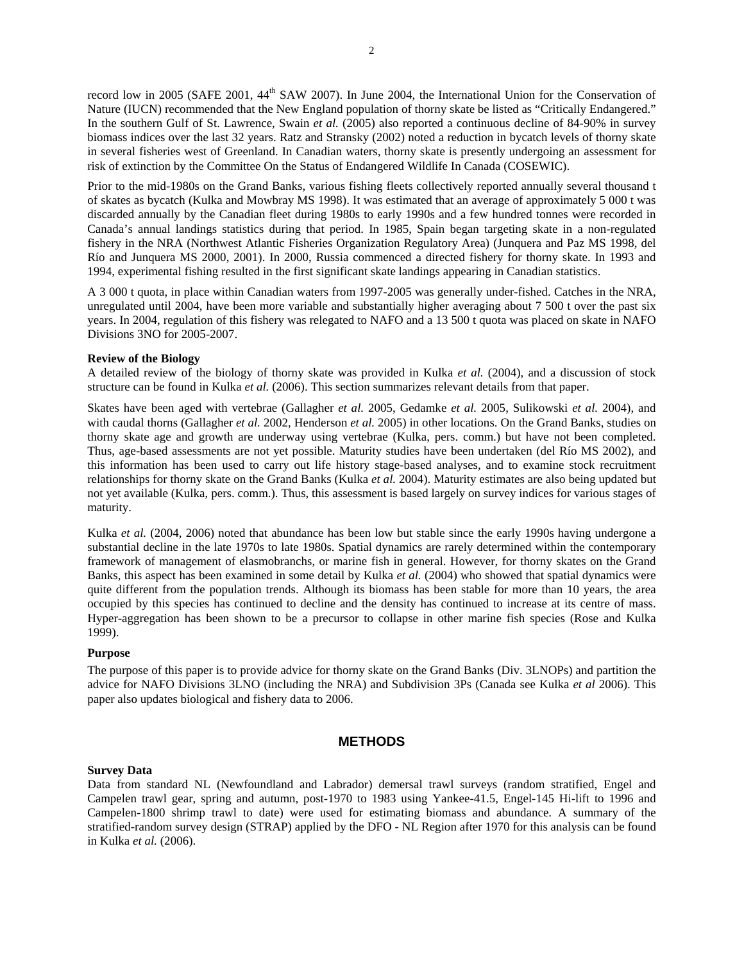record low in 2005 (SAFE 2001, 44<sup>th</sup> SAW 2007). In June 2004, the International Union for the Conservation of Nature (IUCN) recommended that the New England population of thorny skate be listed as "Critically Endangered." In the southern Gulf of St. Lawrence, Swain *et al.* (2005) also reported a continuous decline of 84-90% in survey biomass indices over the last 32 years. Ratz and Stransky (2002) noted a reduction in bycatch levels of thorny skate in several fisheries west of Greenland. In Canadian waters, thorny skate is presently undergoing an assessment for risk of extinction by the Committee On the Status of Endangered Wildlife In Canada (COSEWIC).

Prior to the mid-1980s on the Grand Banks, various fishing fleets collectively reported annually several thousand t of skates as bycatch (Kulka and Mowbray MS 1998). It was estimated that an average of approximately 5 000 t was discarded annually by the Canadian fleet during 1980s to early 1990s and a few hundred tonnes were recorded in Canada's annual landings statistics during that period. In 1985, Spain began targeting skate in a non-regulated fishery in the NRA (Northwest Atlantic Fisheries Organization Regulatory Area) (Junquera and Paz MS 1998, del Río and Junquera MS 2000, 2001). In 2000, Russia commenced a directed fishery for thorny skate. In 1993 and 1994, experimental fishing resulted in the first significant skate landings appearing in Canadian statistics.

A 3 000 t quota, in place within Canadian waters from 1997-2005 was generally under-fished. Catches in the NRA, unregulated until 2004, have been more variable and substantially higher averaging about 7 500 t over the past six years. In 2004, regulation of this fishery was relegated to NAFO and a 13 500 t quota was placed on skate in NAFO Divisions 3NO for 2005-2007.

#### **Review of the Biology**

A detailed review of the biology of thorny skate was provided in Kulka *et al.* (2004), and a discussion of stock structure can be found in Kulka *et al.* (2006). This section summarizes relevant details from that paper.

Skates have been aged with vertebrae (Gallagher *et al.* 2005, Gedamke *et al.* 2005, Sulikowski *et al.* 2004), and with caudal thorns (Gallagher *et al.* 2002, Henderson *et al.* 2005) in other locations. On the Grand Banks, studies on thorny skate age and growth are underway using vertebrae (Kulka, pers. comm.) but have not been completed. Thus, age-based assessments are not yet possible. Maturity studies have been undertaken (del Río MS 2002), and this information has been used to carry out life history stage-based analyses, and to examine stock recruitment relationships for thorny skate on the Grand Banks (Kulka *et al.* 2004). Maturity estimates are also being updated but not yet available (Kulka, pers. comm.). Thus, this assessment is based largely on survey indices for various stages of maturity.

Kulka *et al.* (2004, 2006) noted that abundance has been low but stable since the early 1990s having undergone a substantial decline in the late 1970s to late 1980s. Spatial dynamics are rarely determined within the contemporary framework of management of elasmobranchs, or marine fish in general. However, for thorny skates on the Grand Banks, this aspect has been examined in some detail by Kulka *et al.* (2004) who showed that spatial dynamics were quite different from the population trends. Although its biomass has been stable for more than 10 years, the area occupied by this species has continued to decline and the density has continued to increase at its centre of mass. Hyper-aggregation has been shown to be a precursor to collapse in other marine fish species (Rose and Kulka 1999).

## **Purpose**

The purpose of this paper is to provide advice for thorny skate on the Grand Banks (Div. 3LNOPs) and partition the advice for NAFO Divisions 3LNO (including the NRA) and Subdivision 3Ps (Canada see Kulka *et al* 2006). This paper also updates biological and fishery data to 2006.

# **METHODS**

# **Survey Data**

Data from standard NL (Newfoundland and Labrador) demersal trawl surveys (random stratified, Engel and Campelen trawl gear, spring and autumn, post-1970 to 1983 using Yankee-41.5, Engel-145 Hi-lift to 1996 and Campelen-1800 shrimp trawl to date) were used for estimating biomass and abundance. A summary of the stratified-random survey design (STRAP) applied by the DFO - NL Region after 1970 for this analysis can be found in Kulka *et al.* (2006).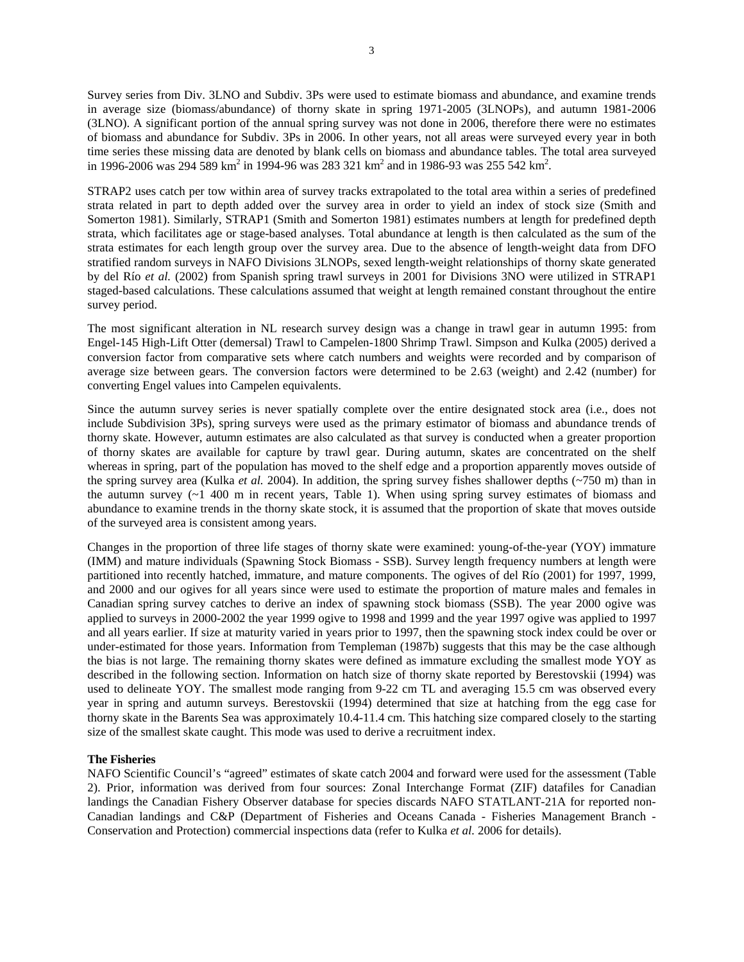Survey series from Div. 3LNO and Subdiv. 3Ps were used to estimate biomass and abundance, and examine trends in average size (biomass/abundance) of thorny skate in spring 1971-2005 (3LNOPs), and autumn 1981-2006 (3LNO). A significant portion of the annual spring survey was not done in 2006, therefore there were no estimates of biomass and abundance for Subdiv. 3Ps in 2006. In other years, not all areas were surveyed every year in both time series these missing data are denoted by blank cells on biomass and abundance tables. The total area surveyed in 1996-2006 was 294 589 km<sup>2</sup> in 1994-96 was 283 321 km<sup>2</sup> and in 1986-93 was 255 542 km<sup>2</sup>.

STRAP2 uses catch per tow within area of survey tracks extrapolated to the total area within a series of predefined strata related in part to depth added over the survey area in order to yield an index of stock size (Smith and Somerton 1981). Similarly, STRAP1 (Smith and Somerton 1981) estimates numbers at length for predefined depth strata, which facilitates age or stage-based analyses. Total abundance at length is then calculated as the sum of the strata estimates for each length group over the survey area. Due to the absence of length-weight data from DFO stratified random surveys in NAFO Divisions 3LNOPs, sexed length-weight relationships of thorny skate generated by del Río *et al.* (2002) from Spanish spring trawl surveys in 2001 for Divisions 3NO were utilized in STRAP1 staged-based calculations. These calculations assumed that weight at length remained constant throughout the entire survey period.

The most significant alteration in NL research survey design was a change in trawl gear in autumn 1995: from Engel-145 High-Lift Otter (demersal) Trawl to Campelen-1800 Shrimp Trawl. Simpson and Kulka (2005) derived a conversion factor from comparative sets where catch numbers and weights were recorded and by comparison of average size between gears. The conversion factors were determined to be 2.63 (weight) and 2.42 (number) for converting Engel values into Campelen equivalents.

Since the autumn survey series is never spatially complete over the entire designated stock area (i.e., does not include Subdivision 3Ps), spring surveys were used as the primary estimator of biomass and abundance trends of thorny skate. However, autumn estimates are also calculated as that survey is conducted when a greater proportion of thorny skates are available for capture by trawl gear. During autumn, skates are concentrated on the shelf whereas in spring, part of the population has moved to the shelf edge and a proportion apparently moves outside of the spring survey area (Kulka *et al.* 2004). In addition, the spring survey fishes shallower depths (~750 m) than in the autumn survey (~1 400 m in recent years, Table 1). When using spring survey estimates of biomass and abundance to examine trends in the thorny skate stock, it is assumed that the proportion of skate that moves outside of the surveyed area is consistent among years.

Changes in the proportion of three life stages of thorny skate were examined: young-of-the-year (YOY) immature (IMM) and mature individuals (Spawning Stock Biomass - SSB). Survey length frequency numbers at length were partitioned into recently hatched, immature, and mature components. The ogives of del Río (2001) for 1997, 1999, and 2000 and our ogives for all years since were used to estimate the proportion of mature males and females in Canadian spring survey catches to derive an index of spawning stock biomass (SSB). The year 2000 ogive was applied to surveys in 2000-2002 the year 1999 ogive to 1998 and 1999 and the year 1997 ogive was applied to 1997 and all years earlier. If size at maturity varied in years prior to 1997, then the spawning stock index could be over or under-estimated for those years. Information from Templeman (1987b) suggests that this may be the case although the bias is not large. The remaining thorny skates were defined as immature excluding the smallest mode YOY as described in the following section. Information on hatch size of thorny skate reported by Berestovskii (1994) was used to delineate YOY. The smallest mode ranging from 9-22 cm TL and averaging 15.5 cm was observed every year in spring and autumn surveys. Berestovskii (1994) determined that size at hatching from the egg case for thorny skate in the Barents Sea was approximately 10.4-11.4 cm. This hatching size compared closely to the starting size of the smallest skate caught. This mode was used to derive a recruitment index.

#### **The Fisheries**

NAFO Scientific Council's "agreed" estimates of skate catch 2004 and forward were used for the assessment (Table 2). Prior, information was derived from four sources: Zonal Interchange Format (ZIF) datafiles for Canadian landings the Canadian Fishery Observer database for species discards NAFO STATLANT-21A for reported non-Canadian landings and C&P (Department of Fisheries and Oceans Canada - Fisheries Management Branch - Conservation and Protection) commercial inspections data (refer to Kulka *et al.* 2006 for details).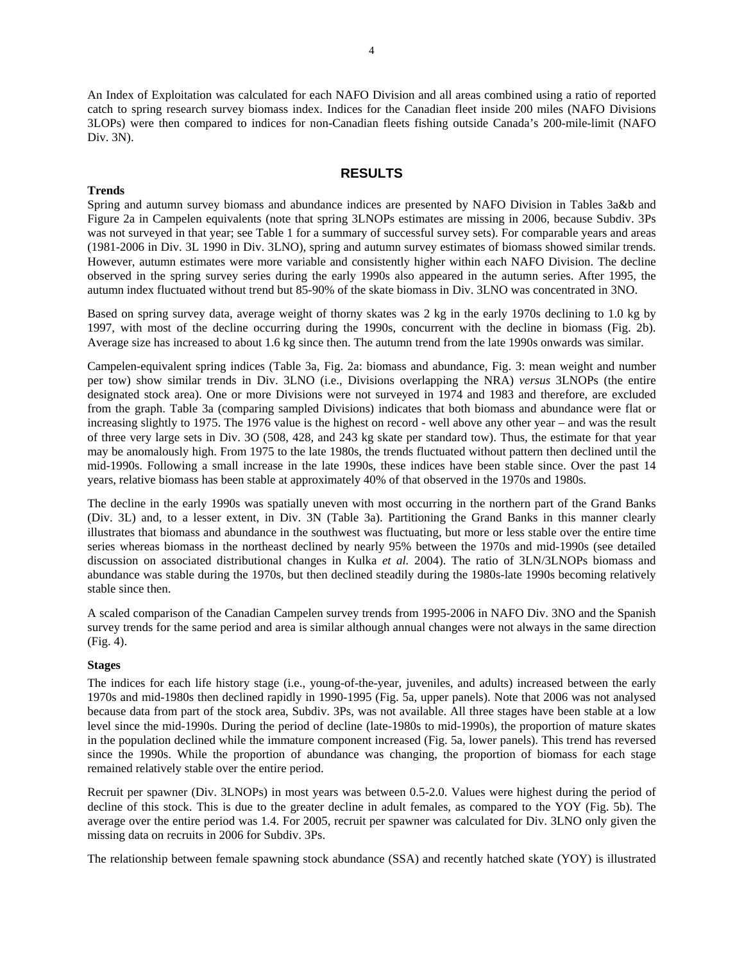An Index of Exploitation was calculated for each NAFO Division and all areas combined using a ratio of reported catch to spring research survey biomass index. Indices for the Canadian fleet inside 200 miles (NAFO Divisions 3LOPs) were then compared to indices for non-Canadian fleets fishing outside Canada's 200-mile-limit (NAFO Div. 3N).

# **RESULTS**

## **Trends**

Spring and autumn survey biomass and abundance indices are presented by NAFO Division in Tables 3a&b and Figure 2a in Campelen equivalents (note that spring 3LNOPs estimates are missing in 2006, because Subdiv. 3Ps was not surveyed in that year; see Table 1 for a summary of successful survey sets). For comparable years and areas (1981-2006 in Div. 3L 1990 in Div. 3LNO), spring and autumn survey estimates of biomass showed similar trends. However, autumn estimates were more variable and consistently higher within each NAFO Division. The decline observed in the spring survey series during the early 1990s also appeared in the autumn series. After 1995, the autumn index fluctuated without trend but 85-90% of the skate biomass in Div. 3LNO was concentrated in 3NO.

Based on spring survey data, average weight of thorny skates was 2 kg in the early 1970s declining to 1.0 kg by 1997, with most of the decline occurring during the 1990s, concurrent with the decline in biomass (Fig. 2b). Average size has increased to about 1.6 kg since then. The autumn trend from the late 1990s onwards was similar.

Campelen-equivalent spring indices (Table 3a, Fig. 2a: biomass and abundance, Fig. 3: mean weight and number per tow) show similar trends in Div. 3LNO (i.e., Divisions overlapping the NRA) *versus* 3LNOPs (the entire designated stock area). One or more Divisions were not surveyed in 1974 and 1983 and therefore, are excluded from the graph. Table 3a (comparing sampled Divisions) indicates that both biomass and abundance were flat or increasing slightly to 1975. The 1976 value is the highest on record - well above any other year – and was the result of three very large sets in Div. 3O (508, 428, and 243 kg skate per standard tow). Thus, the estimate for that year may be anomalously high. From 1975 to the late 1980s, the trends fluctuated without pattern then declined until the mid-1990s. Following a small increase in the late 1990s, these indices have been stable since. Over the past 14 years, relative biomass has been stable at approximately 40% of that observed in the 1970s and 1980s.

The decline in the early 1990s was spatially uneven with most occurring in the northern part of the Grand Banks (Div. 3L) and, to a lesser extent, in Div. 3N (Table 3a). Partitioning the Grand Banks in this manner clearly illustrates that biomass and abundance in the southwest was fluctuating, but more or less stable over the entire time series whereas biomass in the northeast declined by nearly 95% between the 1970s and mid-1990s (see detailed discussion on associated distributional changes in Kulka *et al.* 2004). The ratio of 3LN/3LNOPs biomass and abundance was stable during the 1970s, but then declined steadily during the 1980s-late 1990s becoming relatively stable since then.

A scaled comparison of the Canadian Campelen survey trends from 1995-2006 in NAFO Div. 3NO and the Spanish survey trends for the same period and area is similar although annual changes were not always in the same direction (Fig. 4).

#### **Stages**

The indices for each life history stage (i.e., young-of-the-year, juveniles, and adults) increased between the early 1970s and mid-1980s then declined rapidly in 1990-1995 (Fig. 5a, upper panels). Note that 2006 was not analysed because data from part of the stock area, Subdiv. 3Ps, was not available. All three stages have been stable at a low level since the mid-1990s. During the period of decline (late-1980s to mid-1990s), the proportion of mature skates in the population declined while the immature component increased (Fig. 5a, lower panels). This trend has reversed since the 1990s. While the proportion of abundance was changing, the proportion of biomass for each stage remained relatively stable over the entire period.

Recruit per spawner (Div. 3LNOPs) in most years was between 0.5-2.0. Values were highest during the period of decline of this stock. This is due to the greater decline in adult females, as compared to the YOY (Fig. 5b). The average over the entire period was 1.4. For 2005, recruit per spawner was calculated for Div. 3LNO only given the missing data on recruits in 2006 for Subdiv. 3Ps.

The relationship between female spawning stock abundance (SSA) and recently hatched skate (YOY) is illustrated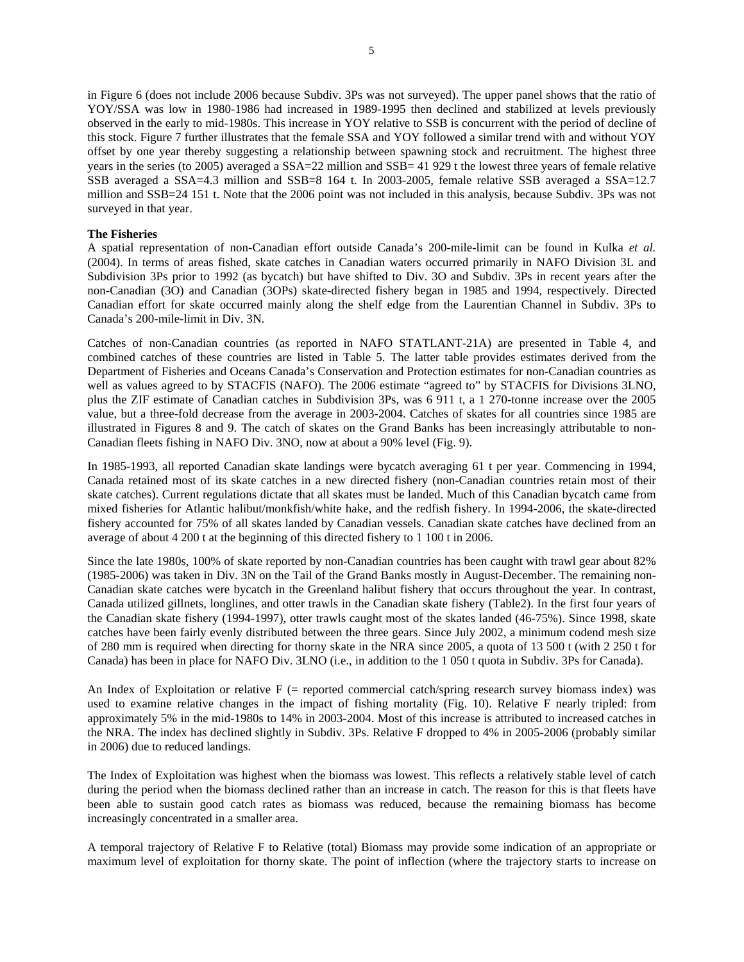in Figure 6 (does not include 2006 because Subdiv. 3Ps was not surveyed). The upper panel shows that the ratio of YOY/SSA was low in 1980-1986 had increased in 1989-1995 then declined and stabilized at levels previously observed in the early to mid-1980s. This increase in YOY relative to SSB is concurrent with the period of decline of this stock. Figure 7 further illustrates that the female SSA and YOY followed a similar trend with and without YOY offset by one year thereby suggesting a relationship between spawning stock and recruitment. The highest three years in the series (to 2005) averaged a SSA=22 million and SSB= 41 929 t the lowest three years of female relative SSB averaged a SSA=4.3 million and SSB=8 164 t. In 2003-2005, female relative SSB averaged a SSA=12.7 million and SSB=24 151 t. Note that the 2006 point was not included in this analysis, because Subdiv. 3Ps was not surveyed in that year.

## **The Fisheries**

A spatial representation of non-Canadian effort outside Canada's 200-mile-limit can be found in Kulka *et al.* (2004). In terms of areas fished, skate catches in Canadian waters occurred primarily in NAFO Division 3L and Subdivision 3Ps prior to 1992 (as bycatch) but have shifted to Div. 3O and Subdiv. 3Ps in recent years after the non-Canadian (3O) and Canadian (3OPs) skate-directed fishery began in 1985 and 1994, respectively. Directed Canadian effort for skate occurred mainly along the shelf edge from the Laurentian Channel in Subdiv. 3Ps to Canada's 200-mile-limit in Div. 3N.

Catches of non-Canadian countries (as reported in NAFO STATLANT-21A) are presented in Table 4, and combined catches of these countries are listed in Table 5. The latter table provides estimates derived from the Department of Fisheries and Oceans Canada's Conservation and Protection estimates for non-Canadian countries as well as values agreed to by STACFIS (NAFO). The 2006 estimate "agreed to" by STACFIS for Divisions 3LNO, plus the ZIF estimate of Canadian catches in Subdivision 3Ps, was 6 911 t, a 1 270-tonne increase over the 2005 value, but a three-fold decrease from the average in 2003-2004. Catches of skates for all countries since 1985 are illustrated in Figures 8 and 9. The catch of skates on the Grand Banks has been increasingly attributable to non-Canadian fleets fishing in NAFO Div. 3NO, now at about a 90% level (Fig. 9).

In 1985-1993, all reported Canadian skate landings were bycatch averaging 61 t per year. Commencing in 1994, Canada retained most of its skate catches in a new directed fishery (non-Canadian countries retain most of their skate catches). Current regulations dictate that all skates must be landed. Much of this Canadian bycatch came from mixed fisheries for Atlantic halibut/monkfish/white hake, and the redfish fishery. In 1994-2006, the skate-directed fishery accounted for 75% of all skates landed by Canadian vessels. Canadian skate catches have declined from an average of about 4 200 t at the beginning of this directed fishery to 1 100 t in 2006.

Since the late 1980s, 100% of skate reported by non-Canadian countries has been caught with trawl gear about 82% (1985-2006) was taken in Div. 3N on the Tail of the Grand Banks mostly in August-December. The remaining non-Canadian skate catches were bycatch in the Greenland halibut fishery that occurs throughout the year. In contrast, Canada utilized gillnets, longlines, and otter trawls in the Canadian skate fishery (Table2). In the first four years of the Canadian skate fishery (1994-1997), otter trawls caught most of the skates landed (46-75%). Since 1998, skate catches have been fairly evenly distributed between the three gears. Since July 2002, a minimum codend mesh size of 280 mm is required when directing for thorny skate in the NRA since 2005, a quota of 13 500 t (with 2 250 t for Canada) has been in place for NAFO Div. 3LNO (i.e., in addition to the 1 050 t quota in Subdiv. 3Ps for Canada).

An Index of Exploitation or relative  $F$  (= reported commercial catch/spring research survey biomass index) was used to examine relative changes in the impact of fishing mortality (Fig. 10). Relative F nearly tripled: from approximately 5% in the mid-1980s to 14% in 2003-2004. Most of this increase is attributed to increased catches in the NRA. The index has declined slightly in Subdiv. 3Ps. Relative F dropped to 4% in 2005-2006 (probably similar in 2006) due to reduced landings.

The Index of Exploitation was highest when the biomass was lowest. This reflects a relatively stable level of catch during the period when the biomass declined rather than an increase in catch. The reason for this is that fleets have been able to sustain good catch rates as biomass was reduced, because the remaining biomass has become increasingly concentrated in a smaller area.

A temporal trajectory of Relative F to Relative (total) Biomass may provide some indication of an appropriate or maximum level of exploitation for thorny skate. The point of inflection (where the trajectory starts to increase on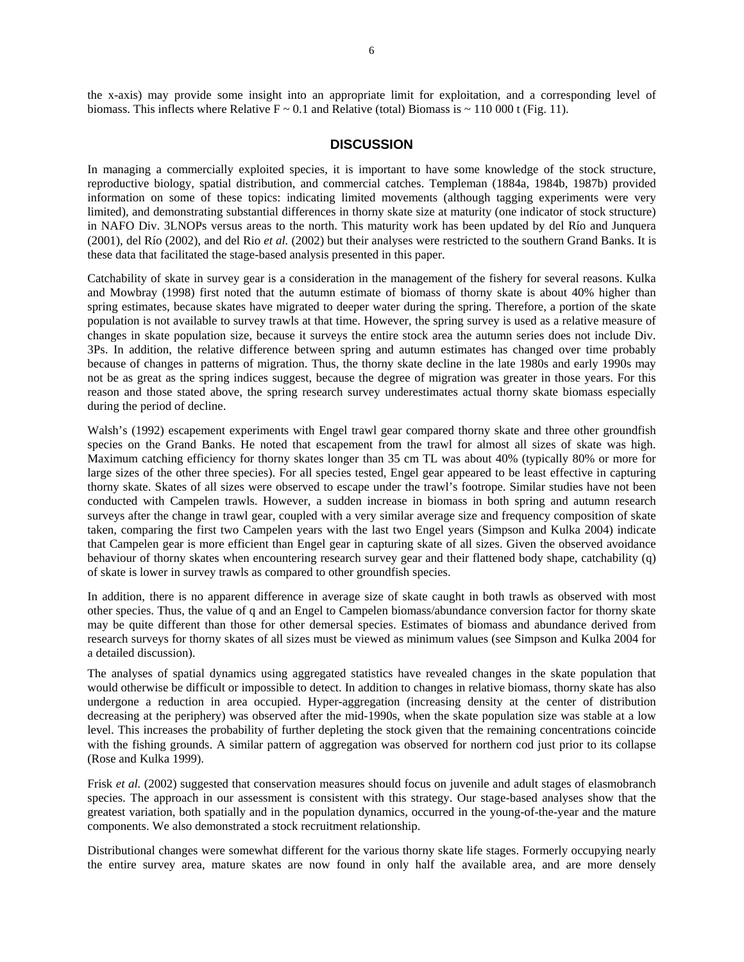#### **DISCUSSION**

In managing a commercially exploited species, it is important to have some knowledge of the stock structure, reproductive biology, spatial distribution, and commercial catches. Templeman (1884a, 1984b, 1987b) provided information on some of these topics: indicating limited movements (although tagging experiments were very limited), and demonstrating substantial differences in thorny skate size at maturity (one indicator of stock structure) in NAFO Div. 3LNOPs versus areas to the north. This maturity work has been updated by del Río and Junquera (2001), del Río (2002), and del Rio *et al.* (2002) but their analyses were restricted to the southern Grand Banks. It is these data that facilitated the stage-based analysis presented in this paper.

Catchability of skate in survey gear is a consideration in the management of the fishery for several reasons. Kulka and Mowbray (1998) first noted that the autumn estimate of biomass of thorny skate is about 40% higher than spring estimates, because skates have migrated to deeper water during the spring. Therefore, a portion of the skate population is not available to survey trawls at that time. However, the spring survey is used as a relative measure of changes in skate population size, because it surveys the entire stock area the autumn series does not include Div. 3Ps. In addition, the relative difference between spring and autumn estimates has changed over time probably because of changes in patterns of migration. Thus, the thorny skate decline in the late 1980s and early 1990s may not be as great as the spring indices suggest, because the degree of migration was greater in those years. For this reason and those stated above, the spring research survey underestimates actual thorny skate biomass especially during the period of decline.

Walsh's (1992) escapement experiments with Engel trawl gear compared thorny skate and three other groundfish species on the Grand Banks. He noted that escapement from the trawl for almost all sizes of skate was high. Maximum catching efficiency for thorny skates longer than 35 cm TL was about 40% (typically 80% or more for large sizes of the other three species). For all species tested, Engel gear appeared to be least effective in capturing thorny skate. Skates of all sizes were observed to escape under the trawl's footrope. Similar studies have not been conducted with Campelen trawls. However, a sudden increase in biomass in both spring and autumn research surveys after the change in trawl gear, coupled with a very similar average size and frequency composition of skate taken, comparing the first two Campelen years with the last two Engel years (Simpson and Kulka 2004) indicate that Campelen gear is more efficient than Engel gear in capturing skate of all sizes. Given the observed avoidance behaviour of thorny skates when encountering research survey gear and their flattened body shape, catchability (q) of skate is lower in survey trawls as compared to other groundfish species.

In addition, there is no apparent difference in average size of skate caught in both trawls as observed with most other species. Thus, the value of q and an Engel to Campelen biomass/abundance conversion factor for thorny skate may be quite different than those for other demersal species. Estimates of biomass and abundance derived from research surveys for thorny skates of all sizes must be viewed as minimum values (see Simpson and Kulka 2004 for a detailed discussion).

The analyses of spatial dynamics using aggregated statistics have revealed changes in the skate population that would otherwise be difficult or impossible to detect. In addition to changes in relative biomass, thorny skate has also undergone a reduction in area occupied. Hyper-aggregation (increasing density at the center of distribution decreasing at the periphery) was observed after the mid-1990s, when the skate population size was stable at a low level. This increases the probability of further depleting the stock given that the remaining concentrations coincide with the fishing grounds. A similar pattern of aggregation was observed for northern cod just prior to its collapse (Rose and Kulka 1999).

Frisk *et al.* (2002) suggested that conservation measures should focus on juvenile and adult stages of elasmobranch species. The approach in our assessment is consistent with this strategy. Our stage-based analyses show that the greatest variation, both spatially and in the population dynamics, occurred in the young-of-the-year and the mature components. We also demonstrated a stock recruitment relationship.

Distributional changes were somewhat different for the various thorny skate life stages. Formerly occupying nearly the entire survey area, mature skates are now found in only half the available area, and are more densely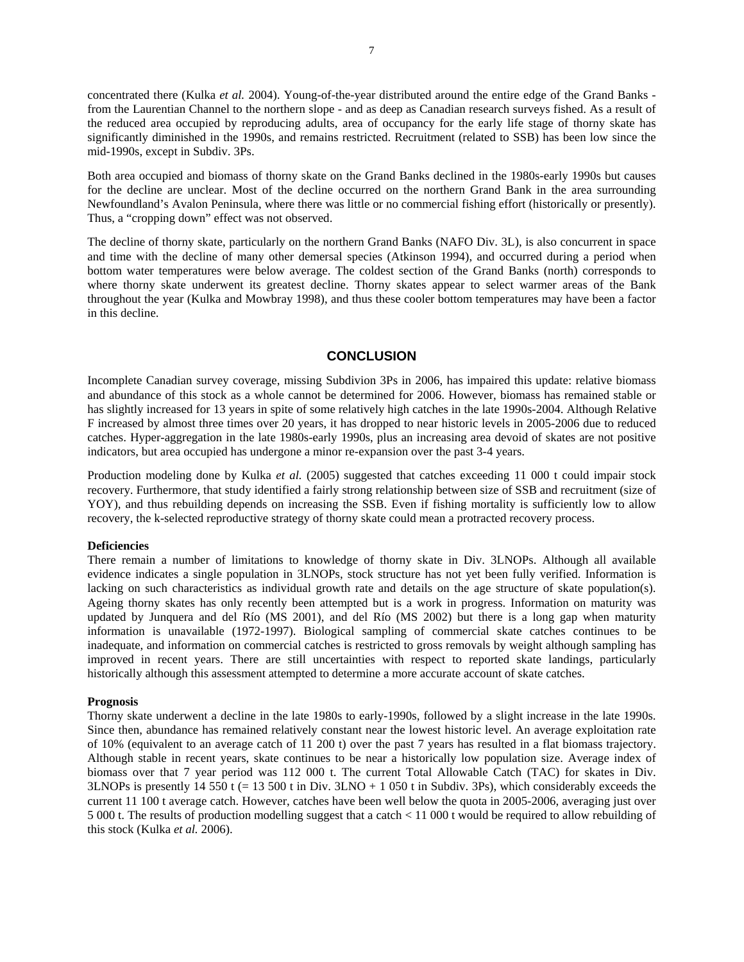concentrated there (Kulka *et al.* 2004). Young-of-the-year distributed around the entire edge of the Grand Banks from the Laurentian Channel to the northern slope - and as deep as Canadian research surveys fished. As a result of the reduced area occupied by reproducing adults, area of occupancy for the early life stage of thorny skate has significantly diminished in the 1990s, and remains restricted. Recruitment (related to SSB) has been low since the mid-1990s, except in Subdiv. 3Ps.

Both area occupied and biomass of thorny skate on the Grand Banks declined in the 1980s-early 1990s but causes for the decline are unclear. Most of the decline occurred on the northern Grand Bank in the area surrounding Newfoundland's Avalon Peninsula, where there was little or no commercial fishing effort (historically or presently). Thus, a "cropping down" effect was not observed.

The decline of thorny skate, particularly on the northern Grand Banks (NAFO Div. 3L), is also concurrent in space and time with the decline of many other demersal species (Atkinson 1994), and occurred during a period when bottom water temperatures were below average. The coldest section of the Grand Banks (north) corresponds to where thorny skate underwent its greatest decline. Thorny skates appear to select warmer areas of the Bank throughout the year (Kulka and Mowbray 1998), and thus these cooler bottom temperatures may have been a factor in this decline.

# **CONCLUSION**

Incomplete Canadian survey coverage, missing Subdivion 3Ps in 2006, has impaired this update: relative biomass and abundance of this stock as a whole cannot be determined for 2006. However, biomass has remained stable or has slightly increased for 13 years in spite of some relatively high catches in the late 1990s-2004. Although Relative F increased by almost three times over 20 years, it has dropped to near historic levels in 2005-2006 due to reduced catches. Hyper-aggregation in the late 1980s-early 1990s, plus an increasing area devoid of skates are not positive indicators, but area occupied has undergone a minor re-expansion over the past 3-4 years.

Production modeling done by Kulka *et al.* (2005) suggested that catches exceeding 11 000 t could impair stock recovery. Furthermore, that study identified a fairly strong relationship between size of SSB and recruitment (size of YOY), and thus rebuilding depends on increasing the SSB. Even if fishing mortality is sufficiently low to allow recovery, the k-selected reproductive strategy of thorny skate could mean a protracted recovery process.

#### **Deficiencies**

There remain a number of limitations to knowledge of thorny skate in Div. 3LNOPs. Although all available evidence indicates a single population in 3LNOPs, stock structure has not yet been fully verified. Information is lacking on such characteristics as individual growth rate and details on the age structure of skate population(s). Ageing thorny skates has only recently been attempted but is a work in progress. Information on maturity was updated by Junquera and del Río (MS 2001), and del Río (MS 2002) but there is a long gap when maturity information is unavailable (1972-1997). Biological sampling of commercial skate catches continues to be inadequate, and information on commercial catches is restricted to gross removals by weight although sampling has improved in recent years. There are still uncertainties with respect to reported skate landings, particularly historically although this assessment attempted to determine a more accurate account of skate catches.

#### **Prognosis**

Thorny skate underwent a decline in the late 1980s to early-1990s, followed by a slight increase in the late 1990s. Since then, abundance has remained relatively constant near the lowest historic level. An average exploitation rate of 10% (equivalent to an average catch of 11 200 t) over the past 7 years has resulted in a flat biomass trajectory. Although stable in recent years, skate continues to be near a historically low population size. Average index of biomass over that 7 year period was 112 000 t. The current Total Allowable Catch (TAC) for skates in Div. 3LNOPs is presently 14 550 t (= 13 500 t in Div. 3LNO + 1 050 t in Subdiv. 3Ps), which considerably exceeds the current 11 100 t average catch. However, catches have been well below the quota in 2005-2006, averaging just over 5 000 t. The results of production modelling suggest that a catch < 11 000 t would be required to allow rebuilding of this stock (Kulka *et al.* 2006).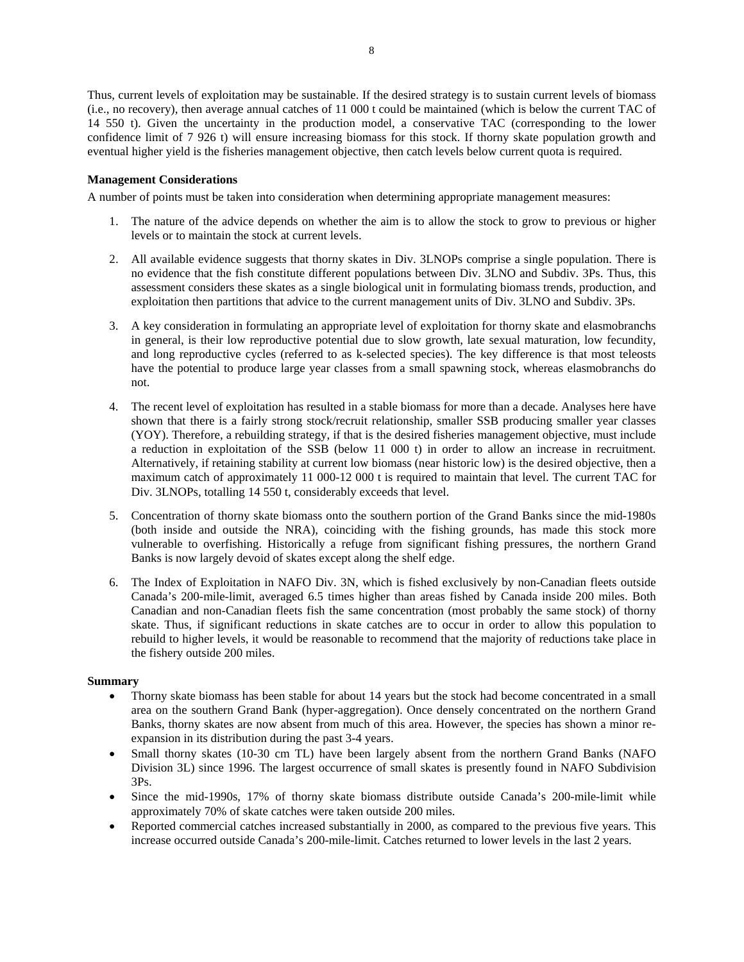Thus, current levels of exploitation may be sustainable. If the desired strategy is to sustain current levels of biomass (i.e., no recovery), then average annual catches of 11 000 t could be maintained (which is below the current TAC of 14 550 t). Given the uncertainty in the production model, a conservative TAC (corresponding to the lower confidence limit of 7 926 t) will ensure increasing biomass for this stock. If thorny skate population growth and eventual higher yield is the fisheries management objective, then catch levels below current quota is required.

# **Management Considerations**

A number of points must be taken into consideration when determining appropriate management measures:

- 1. The nature of the advice depends on whether the aim is to allow the stock to grow to previous or higher levels or to maintain the stock at current levels.
- 2. All available evidence suggests that thorny skates in Div. 3LNOPs comprise a single population. There is no evidence that the fish constitute different populations between Div. 3LNO and Subdiv. 3Ps. Thus, this assessment considers these skates as a single biological unit in formulating biomass trends, production, and exploitation then partitions that advice to the current management units of Div. 3LNO and Subdiv. 3Ps.
- 3. A key consideration in formulating an appropriate level of exploitation for thorny skate and elasmobranchs in general, is their low reproductive potential due to slow growth, late sexual maturation, low fecundity, and long reproductive cycles (referred to as k-selected species). The key difference is that most teleosts have the potential to produce large year classes from a small spawning stock, whereas elasmobranchs do not.
- 4. The recent level of exploitation has resulted in a stable biomass for more than a decade. Analyses here have shown that there is a fairly strong stock/recruit relationship, smaller SSB producing smaller year classes (YOY). Therefore, a rebuilding strategy, if that is the desired fisheries management objective, must include a reduction in exploitation of the SSB (below 11 000 t) in order to allow an increase in recruitment. Alternatively, if retaining stability at current low biomass (near historic low) is the desired objective, then a maximum catch of approximately 11 000-12 000 t is required to maintain that level. The current TAC for Div. 3LNOPs, totalling 14 550 t, considerably exceeds that level.
- 5. Concentration of thorny skate biomass onto the southern portion of the Grand Banks since the mid-1980s (both inside and outside the NRA), coinciding with the fishing grounds, has made this stock more vulnerable to overfishing. Historically a refuge from significant fishing pressures, the northern Grand Banks is now largely devoid of skates except along the shelf edge.
- 6. The Index of Exploitation in NAFO Div. 3N, which is fished exclusively by non-Canadian fleets outside Canada's 200-mile-limit, averaged 6.5 times higher than areas fished by Canada inside 200 miles. Both Canadian and non-Canadian fleets fish the same concentration (most probably the same stock) of thorny skate. Thus, if significant reductions in skate catches are to occur in order to allow this population to rebuild to higher levels, it would be reasonable to recommend that the majority of reductions take place in the fishery outside 200 miles.

## **Summary**

- Thorny skate biomass has been stable for about 14 years but the stock had become concentrated in a small area on the southern Grand Bank (hyper-aggregation). Once densely concentrated on the northern Grand Banks, thorny skates are now absent from much of this area. However, the species has shown a minor reexpansion in its distribution during the past 3-4 years.
- Small thorny skates (10-30 cm TL) have been largely absent from the northern Grand Banks (NAFO Division 3L) since 1996. The largest occurrence of small skates is presently found in NAFO Subdivision 3Ps.
- Since the mid-1990s, 17% of thorny skate biomass distribute outside Canada's 200-mile-limit while approximately 70% of skate catches were taken outside 200 miles.
- Reported commercial catches increased substantially in 2000, as compared to the previous five years. This increase occurred outside Canada's 200-mile-limit. Catches returned to lower levels in the last 2 years.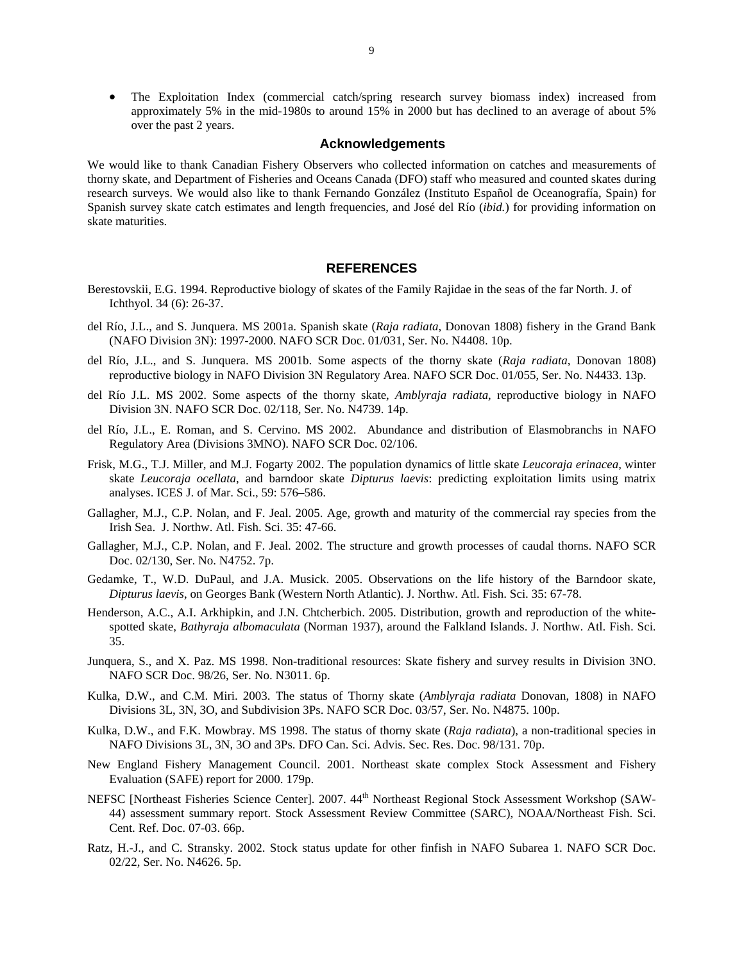• The Exploitation Index (commercial catch/spring research survey biomass index) increased from approximately 5% in the mid-1980s to around 15% in 2000 but has declined to an average of about 5% over the past 2 years.

## **Acknowledgements**

We would like to thank Canadian Fishery Observers who collected information on catches and measurements of thorny skate, and Department of Fisheries and Oceans Canada (DFO) staff who measured and counted skates during research surveys. We would also like to thank Fernando González (Instituto Español de Oceanografía, Spain) for Spanish survey skate catch estimates and length frequencies, and José del Río (*ibid.*) for providing information on skate maturities.

# **REFERENCES**

- Berestovskii, E.G. 1994. Reproductive biology of skates of the Family Rajidae in the seas of the far North. J. of Ichthyol. 34 (6): 26-37.
- del Río, J.L., and S. Junquera. MS 2001a. Spanish skate (*Raja radiata*, Donovan 1808) fishery in the Grand Bank (NAFO Division 3N): 1997-2000. NAFO SCR Doc. 01/031, Ser. No. N4408. 10p.
- del Río, J.L., and S. Junquera. MS 2001b. Some aspects of the thorny skate (*Raja radiata*, Donovan 1808) reproductive biology in NAFO Division 3N Regulatory Area. NAFO SCR Doc. 01/055, Ser. No. N4433. 13p.
- del Río J.L. MS 2002. Some aspects of the thorny skate, *Amblyraja radiata*, reproductive biology in NAFO Division 3N. NAFO SCR Doc. 02/118, Ser. No. N4739. 14p.
- del Río, J.L., E. Roman, and S. Cervino. MS 2002. Abundance and distribution of Elasmobranchs in NAFO Regulatory Area (Divisions 3MNO). NAFO SCR Doc. 02/106.
- Frisk, M.G., T.J. Miller, and M.J. Fogarty 2002. The population dynamics of little skate *Leucoraja erinacea*, winter skate *Leucoraja ocellata*, and barndoor skate *Dipturus laevis*: predicting exploitation limits using matrix analyses. ICES J. of Mar. Sci., 59: 576–586.
- Gallagher, M.J., C.P. Nolan, and F. Jeal. 2005. Age, growth and maturity of the commercial ray species from the Irish Sea. J. Northw. Atl. Fish. Sci. 35: 47-66.
- Gallagher, M.J., C.P. Nolan, and F. Jeal. 2002. The structure and growth processes of caudal thorns. NAFO SCR Doc. 02/130, Ser. No. N4752. 7p.
- Gedamke, T., W.D. DuPaul, and J.A. Musick. 2005. Observations on the life history of the Barndoor skate, *Dipturus laevis*, on Georges Bank (Western North Atlantic). J. Northw. Atl. Fish. Sci. 35: 67-78.
- Henderson, A.C., A.I. Arkhipkin, and J.N. Chtcherbich. 2005. Distribution, growth and reproduction of the whitespotted skate, *Bathyraja albomaculata* (Norman 1937), around the Falkland Islands. J. Northw. Atl. Fish. Sci. 35.
- Junquera, S., and X. Paz. MS 1998. Non-traditional resources: Skate fishery and survey results in Division 3NO. NAFO SCR Doc. 98/26, Ser. No. N3011. 6p.
- Kulka, D.W., and C.M. Miri. 2003. The status of Thorny skate (*Amblyraja radiata* Donovan, 1808) in NAFO Divisions 3L, 3N, 3O, and Subdivision 3Ps. NAFO SCR Doc. 03/57, Ser. No. N4875. 100p.
- Kulka, D.W., and F.K. Mowbray. MS 1998. The status of thorny skate (*Raja radiata*), a non-traditional species in NAFO Divisions 3L, 3N, 3O and 3Ps. DFO Can. Sci. Advis. Sec. Res. Doc. 98/131. 70p.
- New England Fishery Management Council. 2001. Northeast skate complex Stock Assessment and Fishery Evaluation (SAFE) report for 2000. 179p.
- NEFSC [Northeast Fisheries Science Center]. 2007. 44<sup>th</sup> Northeast Regional Stock Assessment Workshop (SAW-44) assessment summary report. Stock Assessment Review Committee (SARC), NOAA/Northeast Fish. Sci. Cent. Ref. Doc. 07-03. 66p.
- Ratz, H.-J., and C. Stransky. 2002. Stock status update for other finfish in NAFO Subarea 1. NAFO SCR Doc. 02/22, Ser. No. N4626. 5p.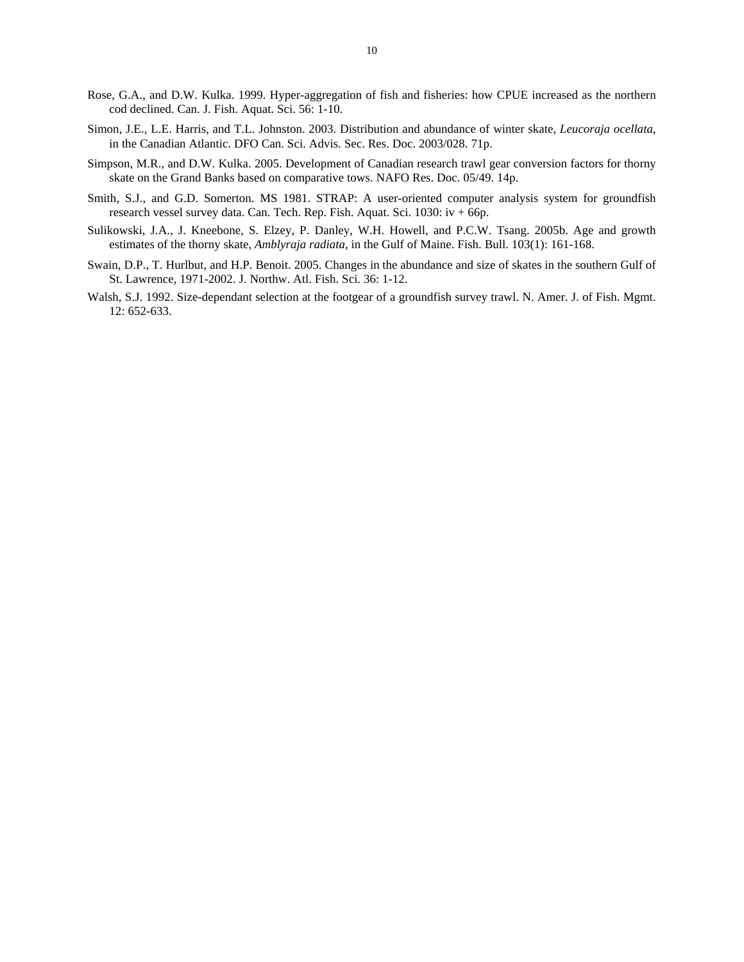- Rose, G.A., and D.W. Kulka. 1999. Hyper-aggregation of fish and fisheries: how CPUE increased as the northern cod declined. Can. J. Fish. Aquat. Sci. 56: 1-10.
- Simon, J.E., L.E. Harris, and T.L. Johnston. 2003. Distribution and abundance of winter skate, *Leucoraja ocellata*, in the Canadian Atlantic. DFO Can. Sci. Advis. Sec. Res. Doc. 2003/028. 71p.
- Simpson, M.R., and D.W. Kulka. 2005. Development of Canadian research trawl gear conversion factors for thorny skate on the Grand Banks based on comparative tows. NAFO Res. Doc. 05/49. 14p.
- Smith, S.J., and G.D. Somerton. MS 1981. STRAP: A user-oriented computer analysis system for groundfish research vessel survey data. Can. Tech. Rep. Fish. Aquat. Sci. 1030: iv + 66p.
- Sulikowski, J.A., J. Kneebone, S. Elzey, P. Danley, W.H. Howell, and P.C.W. Tsang. 2005b. Age and growth estimates of the thorny skate, *Amblyraja radiata*, in the Gulf of Maine. Fish. Bull. 103(1): 161-168.
- Swain, D.P., T. Hurlbut, and H.P. Benoit. 2005. Changes in the abundance and size of skates in the southern Gulf of St. Lawrence, 1971-2002. J. Northw. Atl. Fish. Sci. 36: 1-12.
- Walsh, S.J. 1992. Size-dependant selection at the footgear of a groundfish survey trawl. N. Amer. J. of Fish. Mgmt. 12: 652-633.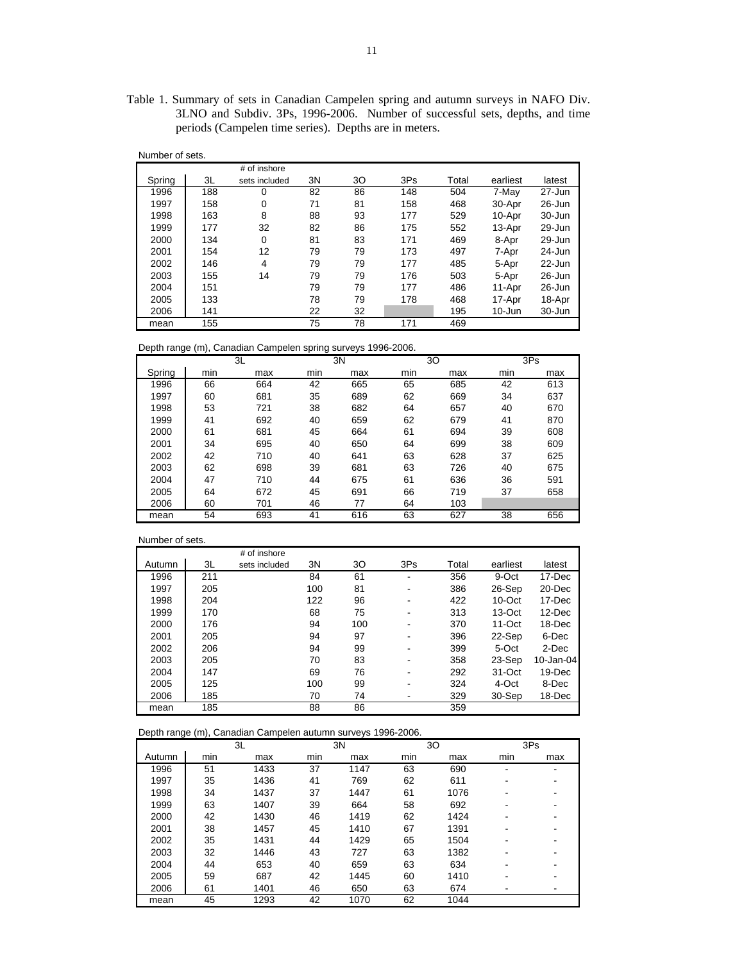Table 1. Summary of sets in Canadian Campelen spring and autumn surveys in NAFO Div. 3LNO and Subdiv. 3Ps, 1996-2006. Number of successful sets, depths, and time periods (Campelen time series). Depths are in meters.

| Number of sets. |     |               |    |    |     |       |            |            |
|-----------------|-----|---------------|----|----|-----|-------|------------|------------|
|                 |     | # of inshore  |    |    |     |       |            |            |
| Spring          | 3L  | sets included | 3N | 30 | 3Ps | Total | earliest   | latest     |
| 1996            | 188 | 0             | 82 | 86 | 148 | 504   | 7-May      | 27-Jun     |
| 1997            | 158 | $\mathbf 0$   | 71 | 81 | 158 | 468   | 30-Apr     | $26 - Jun$ |
| 1998            | 163 | 8             | 88 | 93 | 177 | 529   | 10-Apr     | 30-Jun     |
| 1999            | 177 | 32            | 82 | 86 | 175 | 552   | 13-Apr     | 29-Jun     |
| 2000            | 134 | $\mathbf 0$   | 81 | 83 | 171 | 469   | 8-Apr      | 29-Jun     |
| 2001            | 154 | 12            | 79 | 79 | 173 | 497   | 7-Apr      | 24-Jun     |
| 2002            | 146 | 4             | 79 | 79 | 177 | 485   | 5-Apr      | $22 - Jun$ |
| 2003            | 155 | 14            | 79 | 79 | 176 | 503   | 5-Apr      | 26-Jun     |
| 2004            | 151 |               | 79 | 79 | 177 | 486   | 11-Apr     | $26 - Jun$ |
| 2005            | 133 |               | 78 | 79 | 178 | 468   | 17-Apr     | 18-Apr     |
| 2006            | 141 |               | 22 | 32 |     | 195   | $10 - Jun$ | 30-Jun     |
| mean            | 155 |               | 75 | 78 | 171 | 469   |            |            |

Depth range (m), Canadian Campelen spring surveys 1996-2006.

|        | ີ<br>$\cdot$ |     | ີ   |     |     |     |     |     |
|--------|--------------|-----|-----|-----|-----|-----|-----|-----|
|        |              | 3L  |     | 3N  |     | 30  |     | 3Ps |
| Spring | min          | max | min | max | min | max | min | max |
| 1996   | 66           | 664 | 42  | 665 | 65  | 685 | 42  | 613 |
| 1997   | 60           | 681 | 35  | 689 | 62  | 669 | 34  | 637 |
| 1998   | 53           | 721 | 38  | 682 | 64  | 657 | 40  | 670 |
| 1999   | 41           | 692 | 40  | 659 | 62  | 679 | 41  | 870 |
| 2000   | 61           | 681 | 45  | 664 | 61  | 694 | 39  | 608 |
| 2001   | 34           | 695 | 40  | 650 | 64  | 699 | 38  | 609 |
| 2002   | 42           | 710 | 40  | 641 | 63  | 628 | 37  | 625 |
| 2003   | 62           | 698 | 39  | 681 | 63  | 726 | 40  | 675 |
| 2004   | 47           | 710 | 44  | 675 | 61  | 636 | 36  | 591 |
| 2005   | 64           | 672 | 45  | 691 | 66  | 719 | 37  | 658 |
| 2006   | 60           | 701 | 46  | 77  | 64  | 103 |     |     |
| mean   | 54           | 693 | 41  | 616 | 63  | 627 | 38  | 656 |

#### Number of sets.

|        |     | # of inshore  |     |     |     |       |            |           |
|--------|-----|---------------|-----|-----|-----|-------|------------|-----------|
| Autumn | 3L  | sets included | 3N  | 30  | 3Ps | Total | earliest   | latest    |
| 1996   | 211 |               | 84  | 61  | ۰   | 356   | 9-Oct      | 17-Dec    |
| 1997   | 205 |               | 100 | 81  |     | 386   | 26-Sep     | 20-Dec    |
| 1998   | 204 |               | 122 | 96  | -   | 422   | $10$ -Oct  | 17-Dec    |
| 1999   | 170 |               | 68  | 75  | -   | 313   | 13-Oct     | 12-Dec    |
| 2000   | 176 |               | 94  | 100 |     | 370   | $11-Oct$   | 18-Dec    |
| 2001   | 205 |               | 94  | 97  |     | 396   | 22-Sep     | 6-Dec     |
| 2002   | 206 |               | 94  | 99  | -   | 399   | 5-Oct      | 2-Dec     |
| 2003   | 205 |               | 70  | 83  |     | 358   | 23-Sep     | 10-Jan-04 |
| 2004   | 147 |               | 69  | 76  |     | 292   | $31 - Oct$ | 19-Dec    |
| 2005   | 125 |               | 100 | 99  |     | 324   | 4-Oct      | 8-Dec     |
| 2006   | 185 |               | 70  | 74  | -   | 329   | 30-Sep     | 18-Dec    |
| mean   | 185 |               | 88  | 86  |     | 359   |            |           |

## Depth range (m), Canadian Campelen autumn surveys 1996-2006.

|        | 3L  |      |     | 3N   |     | 30   | 3Ps |     |  |
|--------|-----|------|-----|------|-----|------|-----|-----|--|
| Autumn | min | max  | min | max  | min | max  | min | max |  |
| 1996   | 51  | 1433 | 37  | 1147 | 63  | 690  | ۰   |     |  |
| 1997   | 35  | 1436 | 41  | 769  | 62  | 611  | -   |     |  |
| 1998   | 34  | 1437 | 37  | 1447 | 61  | 1076 |     |     |  |
| 1999   | 63  | 1407 | 39  | 664  | 58  | 692  | ۰   |     |  |
| 2000   | 42  | 1430 | 46  | 1419 | 62  | 1424 | ۰   |     |  |
| 2001   | 38  | 1457 | 45  | 1410 | 67  | 1391 |     |     |  |
| 2002   | 35  | 1431 | 44  | 1429 | 65  | 1504 |     |     |  |
| 2003   | 32  | 1446 | 43  | 727  | 63  | 1382 |     |     |  |
| 2004   | 44  | 653  | 40  | 659  | 63  | 634  |     |     |  |
| 2005   | 59  | 687  | 42  | 1445 | 60  | 1410 |     |     |  |
| 2006   | 61  | 1401 | 46  | 650  | 63  | 674  |     |     |  |
| mean   | 45  | 1293 | 42  | 1070 | 62  | 1044 |     |     |  |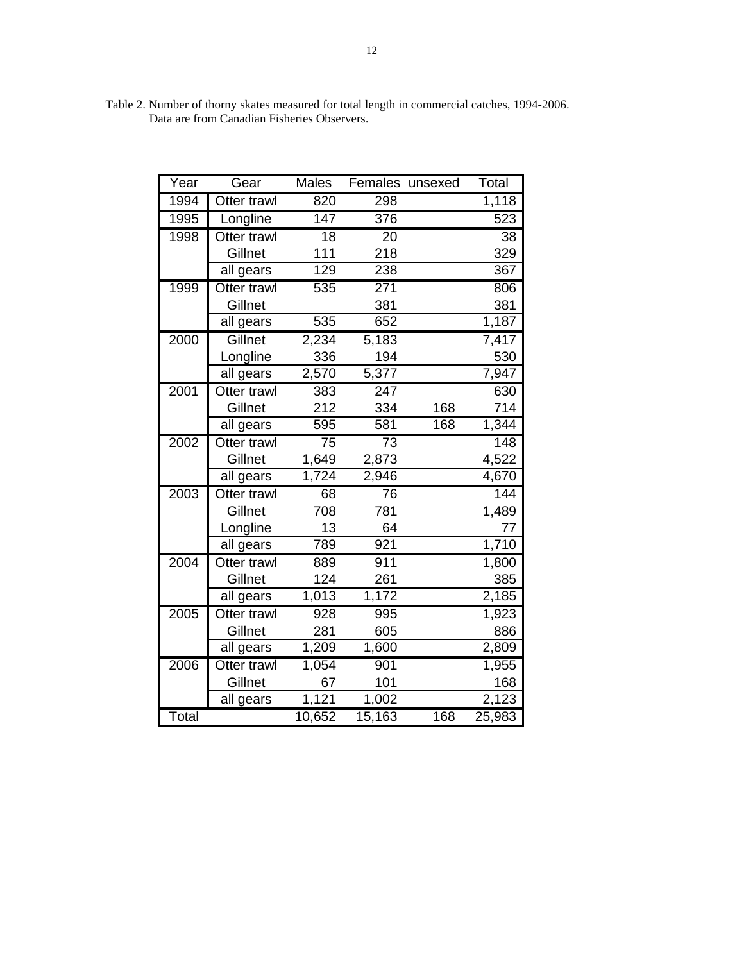| Year  | Gear        | <b>Males</b>    |                  | Females unsexed | Total            |
|-------|-------------|-----------------|------------------|-----------------|------------------|
| 1994  | Otter trawl | 820             | 298              |                 | 1,118            |
| 1995  | Longline    | 147             | 376              |                 | 523              |
| 1998  | Otter trawl | $\overline{18}$ | $\overline{20}$  |                 | $\overline{38}$  |
|       | Gillnet     | 111             | 218              |                 | 329              |
|       | all gears   | 129             | 238              |                 | 367              |
| 1999  | Otter trawl | 535             | $\overline{271}$ |                 | 806              |
|       | Gillnet     |                 | 381              |                 | 381              |
|       | all gears   | 535             | 652              |                 | 1,187            |
| 2000  | Gillnet     | 2,234           | 5,183            |                 | 7,417            |
|       | Longline    | 336             | 194              |                 | 530              |
|       | all gears   | 2,570           | 5,377            |                 | 7,947            |
| 2001  | Otter trawl | 383             | $\overline{247}$ |                 | 630              |
|       | Gillnet     | 212             | 334              | 168             | 714              |
|       | all gears   | 595             | 581              | 168             | 1,344            |
| 2002  | Otter trawl | $\overline{75}$ | $\overline{73}$  |                 | $\overline{148}$ |
|       | Gillnet     | 1,649           | 2,873            |                 | 4,522            |
|       | all gears   | 1,724           | 2,946            |                 | 4,670            |
| 2003  | Otter trawl | 68              | 76               |                 | 144              |
|       | Gillnet     | 708             | 781              |                 | 1,489            |
|       | Longline    | 13              | 64               |                 | 77               |
|       | all gears   | 789             | 921              |                 | 1,710            |
| 2004  | Otter trawl | 889             | 911              |                 | 1,800            |
|       | Gillnet     | 124             | 261              |                 | 385              |
|       | all gears   | 1,013           | 1,172            |                 | 2,185            |
| 2005  | Otter trawl | 928             | 995              |                 | 1,923            |
|       | Gillnet     | 281             | 605              |                 | 886              |
|       | all gears   | 1,209           | 1,600            |                 | 2,809            |
| 2006  | Otter trawl | 1,054           | 901              |                 | 1,955            |
|       | Gillnet     | 67              | 101              |                 | 168              |
|       | all gears   | 1,121           | 1,002            |                 | 2,123            |
| Total |             | 10,652          | 15,163           | 168             | 25,983           |

Table 2. Number of thorny skates measured for total length in commercial catches, 1994-2006. Data are from Canadian Fisheries Observers.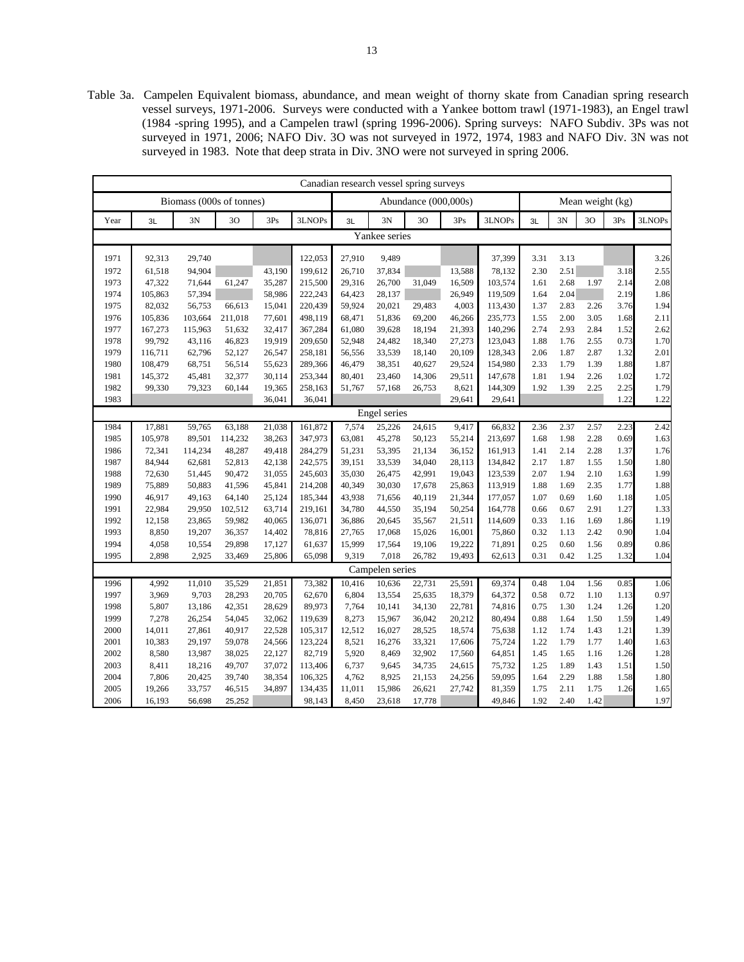Table 3a. Campelen Equivalent biomass, abundance, and mean weight of thorny skate from Canadian spring research vessel surveys, 1971-2006. Surveys were conducted with a Yankee bottom trawl (1971-1983), an Engel trawl (1984 -spring 1995), and a Campelen trawl (spring 1996-2006). Spring surveys: NAFO Subdiv. 3Ps was not surveyed in 1971, 2006; NAFO Div. 3O was not surveyed in 1972, 1974, 1983 and NAFO Div. 3N was not surveyed in 1983. Note that deep strata in Div. 3NO were not surveyed in spring 2006.

|      | Canadian research vessel spring surveys |                          |         |        |         |        |                 |                      |        |         |      |      |      |                  |        |
|------|-----------------------------------------|--------------------------|---------|--------|---------|--------|-----------------|----------------------|--------|---------|------|------|------|------------------|--------|
|      |                                         | Biomass (000s of tonnes) |         |        |         |        |                 | Abundance (000,000s) |        |         |      |      |      | Mean weight (kg) |        |
| Year | 3L                                      | 3N                       | 30      | 3Ps    | 3LNOPs  | 3L     | 3N              | 30                   | 3Ps    | 3LNOPs  | 3L   | 3N   | 30   | 3Ps              | 3LNOPs |
|      |                                         |                          |         |        |         |        | Yankee series   |                      |        |         |      |      |      |                  |        |
| 1971 | 92,313                                  | 29,740                   |         |        | 122,053 | 27,910 | 9,489           |                      |        | 37,399  | 3.31 | 3.13 |      |                  | 3.26   |
| 1972 | 61,518                                  | 94,904                   |         | 43,190 | 199,612 | 26,710 | 37,834          |                      | 13,588 | 78,132  | 2.30 | 2.51 |      | 3.18             | 2.55   |
| 1973 | 47,322                                  | 71,644                   | 61,247  | 35,287 | 215,500 | 29,316 | 26,700          | 31,049               | 16,509 | 103,574 | 1.61 | 2.68 | 1.97 | 2.14             | 2.08   |
| 1974 | 105,863                                 | 57,394                   |         | 58,986 | 222,243 | 64,423 | 28.137          |                      | 26.949 | 119,509 | 1.64 | 2.04 |      | 2.19             | 1.86   |
| 1975 | 82,032                                  | 56,753                   | 66,613  | 15,041 | 220,439 | 59,924 | 20,021          | 29,483               | 4,003  | 113,430 | 1.37 | 2.83 | 2.26 | 3.76             | 1.94   |
| 1976 | 105,836                                 | 103,664                  | 211,018 | 77,601 | 498,119 | 68,471 | 51,836          | 69,200               | 46,266 | 235,773 | 1.55 | 2.00 | 3.05 | 1.68             | 2.11   |
| 1977 | 167,273                                 | 115,963                  | 51,632  | 32,417 | 367,284 | 61,080 | 39,628          | 18,194               | 21,393 | 140,296 | 2.74 | 2.93 | 2.84 | 1.52             | 2.62   |
| 1978 | 99,792                                  | 43,116                   | 46,823  | 19,919 | 209,650 | 52,948 | 24,482          | 18,340               | 27,273 | 123,043 | 1.88 | 1.76 | 2.55 | 0.73             | 1.70   |
| 1979 | 116,711                                 | 62,796                   | 52,127  | 26,547 | 258,181 | 56,556 | 33,539          | 18,140               | 20,109 | 128,343 | 2.06 | 1.87 | 2.87 | 1.32             | 2.01   |
| 1980 | 108,479                                 | 68,751                   | 56,514  | 55,623 | 289,366 | 46,479 | 38,351          | 40,627               | 29,524 | 154,980 | 2.33 | 1.79 | 1.39 | 1.88             | 1.87   |
| 1981 | 145,372                                 | 45,481                   | 32,377  | 30,114 | 253,344 | 80,401 | 23,460          | 14,306               | 29,511 | 147,678 | 1.81 | 1.94 | 2.26 | 1.02             | 1.72   |
| 1982 | 99,330                                  | 79,323                   | 60,144  | 19,365 | 258,163 | 51,767 | 57,168          | 26,753               | 8,621  | 144,309 | 1.92 | 1.39 | 2.25 | 2.25             | 1.79   |
| 1983 |                                         |                          |         | 36,041 | 36,041  |        |                 |                      | 29,641 | 29,641  |      |      |      | 1.22             | 1.22   |
|      |                                         |                          |         |        |         |        | Engel series    |                      |        |         |      |      |      |                  |        |
| 1984 | 17,881                                  | 59,765                   | 63,188  | 21,038 | 161,872 | 7,574  | 25,226          | 24,615               | 9,417  | 66,832  | 2.36 | 2.37 | 2.57 | 2.23             | 2.42   |
| 1985 | 105,978                                 | 89,501                   | 114,232 | 38,263 | 347,973 | 63,081 | 45,278          | 50,123               | 55,214 | 213,697 | 1.68 | 1.98 | 2.28 | 0.69             | 1.63   |
| 1986 | 72,341                                  | 114,234                  | 48,287  | 49,418 | 284,279 | 51,231 | 53,395          | 21,134               | 36,152 | 161,913 | 1.41 | 2.14 | 2.28 | 1.37             | 1.76   |
| 1987 | 84,944                                  | 62,681                   | 52,813  | 42,138 | 242,575 | 39,151 | 33,539          | 34,040               | 28,113 | 134,842 | 2.17 | 1.87 | 1.55 | 1.50             | 1.80   |
| 1988 | 72,630                                  | 51,445                   | 90,472  | 31,055 | 245,603 | 35,030 | 26,475          | 42,991               | 19,043 | 123,539 | 2.07 | 1.94 | 2.10 | 1.63             | 1.99   |
| 1989 | 75,889                                  | 50,883                   | 41,596  | 45,841 | 214,208 | 40,349 | 30,030          | 17,678               | 25,863 | 113,919 | 1.88 | 1.69 | 2.35 | 1.77             | 1.88   |
| 1990 | 46,917                                  | 49,163                   | 64,140  | 25,124 | 185,344 | 43,938 | 71,656          | 40,119               | 21,344 | 177,057 | 1.07 | 0.69 | 1.60 | 1.18             | 1.05   |
| 1991 | 22,984                                  | 29,950                   | 102,512 | 63,714 | 219,161 | 34,780 | 44,550          | 35,194               | 50,254 | 164,778 | 0.66 | 0.67 | 2.91 | 1.27             | 1.33   |
| 1992 | 12,158                                  | 23,865                   | 59,982  | 40,065 | 136,071 | 36,886 | 20,645          | 35,567               | 21,511 | 114,609 | 0.33 | 1.16 | 1.69 | 1.86             | 1.19   |
| 1993 | 8,850                                   | 19,207                   | 36,357  | 14,402 | 78,816  | 27,765 | 17,068          | 15,026               | 16,001 | 75,860  | 0.32 | 1.13 | 2.42 | 0.90             | 1.04   |
| 1994 | 4,058                                   | 10,554                   | 29,898  | 17,127 | 61,637  | 15,999 | 17,564          | 19,106               | 19,222 | 71,891  | 0.25 | 0.60 | 1.56 | 0.89             | 0.86   |
| 1995 | 2,898                                   | 2,925                    | 33,469  | 25,806 | 65,098  | 9,319  | 7,018           | 26,782               | 19,493 | 62,613  | 0.31 | 0.42 | 1.25 | 1.32             | 1.04   |
|      |                                         |                          |         |        |         |        | Campelen series |                      |        |         |      |      |      |                  |        |
| 1996 | 4,992                                   | 11,010                   | 35,529  | 21,851 | 73,382  | 10,416 | 10,636          | 22,731               | 25,591 | 69,374  | 0.48 | 1.04 | 1.56 | 0.85             | 1.06   |
| 1997 | 3,969                                   | 9,703                    | 28,293  | 20,705 | 62,670  | 6,804  | 13,554          | 25,635               | 18,379 | 64,372  | 0.58 | 0.72 | 1.10 | 1.13             | 0.97   |
| 1998 | 5,807                                   | 13,186                   | 42,351  | 28,629 | 89,973  | 7,764  | 10,141          | 34,130               | 22,781 | 74,816  | 0.75 | 1.30 | 1.24 | 1.26             | 1.20   |
| 1999 | 7,278                                   | 26,254                   | 54,045  | 32,062 | 119,639 | 8,273  | 15,967          | 36,042               | 20,212 | 80,494  | 0.88 | 1.64 | 1.50 | 1.59             | 1.49   |
| 2000 | 14,011                                  | 27,861                   | 40,917  | 22,528 | 105,317 | 12,512 | 16,027          | 28,525               | 18,574 | 75,638  | 1.12 | 1.74 | 1.43 | 1.21             | 1.39   |
| 2001 | 10,383                                  | 29,197                   | 59,078  | 24,566 | 123,224 | 8,521  | 16,276          | 33,321               | 17,606 | 75,724  | 1.22 | 1.79 | 1.77 | 1.40             | 1.63   |
| 2002 | 8,580                                   | 13,987                   | 38,025  | 22,127 | 82,719  | 5,920  | 8,469           | 32,902               | 17,560 | 64,851  | 1.45 | 1.65 | 1.16 | 1.26             | 1.28   |
| 2003 | 8,411                                   | 18,216                   | 49,707  | 37,072 | 113,406 | 6,737  | 9,645           | 34,735               | 24,615 | 75,732  | 1.25 | 1.89 | 1.43 | 1.51             | 1.50   |
| 2004 | 7,806                                   | 20,425                   | 39,740  | 38,354 | 106,325 | 4,762  | 8,925           | 21,153               | 24,256 | 59,095  | 1.64 | 2.29 | 1.88 | 1.58             | 1.80   |
| 2005 | 19,266                                  | 33,757                   | 46,515  | 34,897 | 134,435 | 11,011 | 15,986          | 26,621               | 27,742 | 81,359  | 1.75 | 2.11 | 1.75 | 1.26             | 1.65   |
| 2006 | 16,193                                  | 56,698                   | 25,252  |        | 98,143  | 8,450  | 23,618          | 17,778               |        | 49,846  | 1.92 | 2.40 | 1.42 |                  | 1.97   |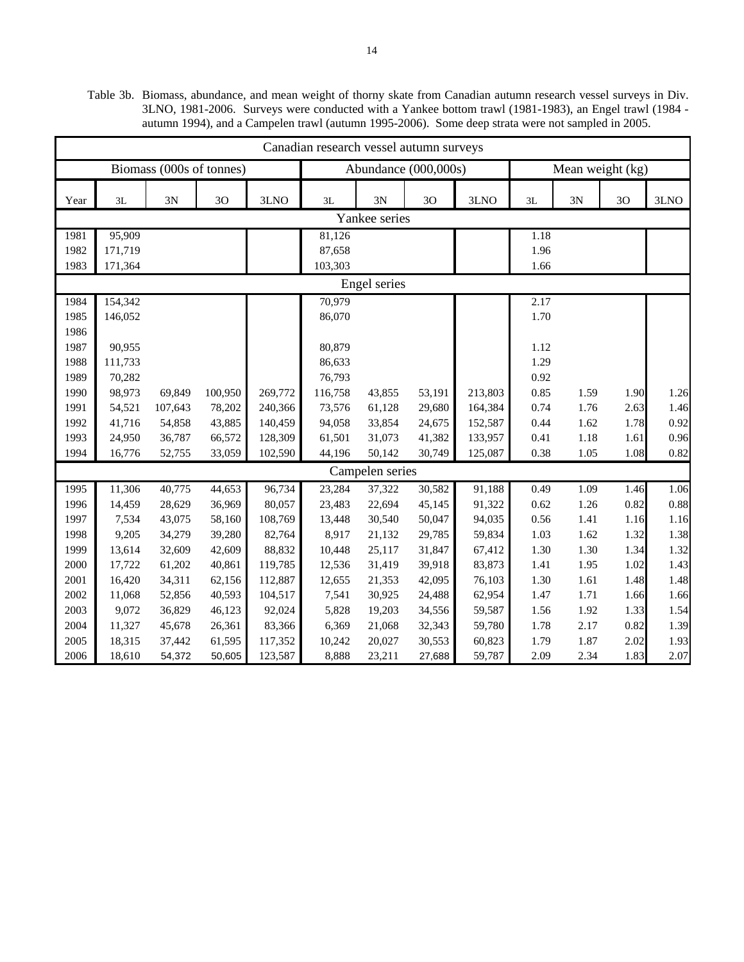Table 3b. Biomass, abundance, and mean weight of thorny skate from Canadian autumn research vessel surveys in Div. 3LNO, 1981-2006. Surveys were conducted with a Yankee bottom trawl (1981-1983), an Engel trawl (1984 autumn 1994), and a Campelen trawl (autumn 1995-2006). Some deep strata were not sampled in 2005.

|      | Canadian research vessel autumn surveys |                          |                |         |         |                      |        |         |      |                  |      |      |
|------|-----------------------------------------|--------------------------|----------------|---------|---------|----------------------|--------|---------|------|------------------|------|------|
|      |                                         | Biomass (000s of tonnes) |                |         |         | Abundance (000,000s) |        |         |      | Mean weight (kg) |      |      |
| Year | 3L                                      | 3N                       | 3 <sub>O</sub> | 3LNO    | 3L      | 3N                   | 3O     | 3LNO    | 3L   | 3N               | 30   | 3LNO |
|      |                                         |                          |                |         |         | Yankee series        |        |         |      |                  |      |      |
| 1981 | 95,909                                  |                          |                |         | 81,126  |                      |        |         | 1.18 |                  |      |      |
| 1982 | 171,719                                 |                          |                |         | 87,658  |                      |        |         | 1.96 |                  |      |      |
| 1983 | 171,364                                 |                          |                |         | 103,303 |                      |        |         | 1.66 |                  |      |      |
|      |                                         |                          |                |         |         | Engel series         |        |         |      |                  |      |      |
| 1984 | 154,342                                 |                          |                |         | 70,979  |                      |        |         | 2.17 |                  |      |      |
| 1985 | 146,052                                 |                          |                |         | 86,070  |                      |        |         | 1.70 |                  |      |      |
| 1986 |                                         |                          |                |         |         |                      |        |         |      |                  |      |      |
| 1987 | 90,955                                  |                          |                |         | 80,879  |                      |        |         | 1.12 |                  |      |      |
| 1988 | 111,733                                 |                          |                |         | 86,633  |                      |        |         | 1.29 |                  |      |      |
| 1989 | 70,282                                  |                          |                |         | 76,793  |                      |        |         | 0.92 |                  |      |      |
| 1990 | 98,973                                  | 69,849                   | 100,950        | 269,772 | 116,758 | 43,855               | 53,191 | 213,803 | 0.85 | 1.59             | 1.90 | 1.26 |
| 1991 | 54,521                                  | 107,643                  | 78,202         | 240,366 | 73,576  | 61,128               | 29,680 | 164,384 | 0.74 | 1.76             | 2.63 | 1.46 |
| 1992 | 41,716                                  | 54,858                   | 43,885         | 140,459 | 94,058  | 33,854               | 24,675 | 152,587 | 0.44 | 1.62             | 1.78 | 0.92 |
| 1993 | 24,950                                  | 36,787                   | 66,572         | 128,309 | 61,501  | 31,073               | 41,382 | 133,957 | 0.41 | 1.18             | 1.61 | 0.96 |
| 1994 | 16,776                                  | 52,755                   | 33,059         | 102,590 | 44,196  | 50,142               | 30,749 | 125,087 | 0.38 | 1.05             | 1.08 | 0.82 |
|      |                                         |                          |                |         |         | Campelen series      |        |         |      |                  |      |      |
| 1995 | 11,306                                  | 40,775                   | 44,653         | 96,734  | 23,284  | 37,322               | 30,582 | 91,188  | 0.49 | 1.09             | 1.46 | 1.06 |
| 1996 | 14,459                                  | 28,629                   | 36,969         | 80,057  | 23,483  | 22,694               | 45,145 | 91,322  | 0.62 | 1.26             | 0.82 | 0.88 |
| 1997 | 7,534                                   | 43,075                   | 58,160         | 108,769 | 13,448  | 30,540               | 50,047 | 94,035  | 0.56 | 1.41             | 1.16 | 1.16 |
| 1998 | 9,205                                   | 34,279                   | 39,280         | 82,764  | 8,917   | 21,132               | 29,785 | 59,834  | 1.03 | 1.62             | 1.32 | 1.38 |
| 1999 | 13,614                                  | 32,609                   | 42,609         | 88,832  | 10,448  | 25,117               | 31,847 | 67,412  | 1.30 | 1.30             | 1.34 | 1.32 |
| 2000 | 17,722                                  | 61,202                   | 40,861         | 119,785 | 12,536  | 31,419               | 39,918 | 83,873  | 1.41 | 1.95             | 1.02 | 1.43 |
| 2001 | 16,420                                  | 34,311                   | 62,156         | 112,887 | 12,655  | 21,353               | 42,095 | 76,103  | 1.30 | 1.61             | 1.48 | 1.48 |
| 2002 | 11,068                                  | 52,856                   | 40,593         | 104,517 | 7,541   | 30,925               | 24,488 | 62,954  | 1.47 | 1.71             | 1.66 | 1.66 |
| 2003 | 9,072                                   | 36,829                   | 46,123         | 92,024  | 5,828   | 19,203               | 34,556 | 59,587  | 1.56 | 1.92             | 1.33 | 1.54 |
| 2004 | 11,327                                  | 45,678                   | 26,361         | 83,366  | 6,369   | 21,068               | 32,343 | 59,780  | 1.78 | 2.17             | 0.82 | 1.39 |
| 2005 | 18,315                                  | 37,442                   | 61,595         | 117,352 | 10,242  | 20,027               | 30,553 | 60,823  | 1.79 | 1.87             | 2.02 | 1.93 |
| 2006 | 18,610                                  | 54,372                   | 50,605         | 123,587 | 8,888   | 23,211               | 27,688 | 59,787  | 2.09 | 2.34             | 1.83 | 2.07 |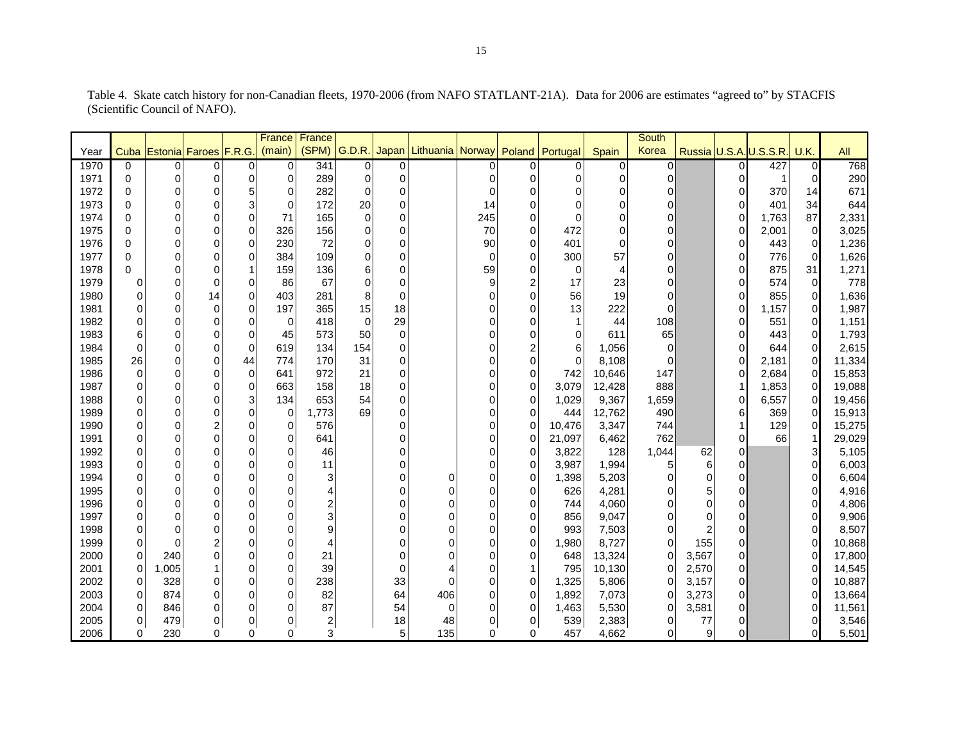|      |                |                            |                         |                | France   France |       |          |             |                                  |          |                |             |                | <b>South</b>   |                |                |                        |                |        |
|------|----------------|----------------------------|-------------------------|----------------|-----------------|-------|----------|-------------|----------------------------------|----------|----------------|-------------|----------------|----------------|----------------|----------------|------------------------|----------------|--------|
| Year |                | Cuba Estonia Faroes F.R.G. |                         |                | (main)          | (SPM) | G.D.R.   | Japan       | Lithuania Norway Poland Portugal |          |                |             | Spain          | Korea          |                |                | Russia U.S.A. U.S.S.R. | U.K.           | All    |
| 1970 | $\Omega$       | 0                          | $\overline{0}$          | 01             | $\overline{0}$  | 341   | 0        | 0           |                                  |          | $\Omega$       | 0           | 0              | $\overline{0}$ |                | 0              | 427                    | $\mathbf 0$    | 768    |
| 1971 | $\Omega$       | 0                          | 0                       | $\Omega$       | 0               | 289   | 0        | 0           |                                  | 0        | $\Omega$       | 0           | 0              | 0              |                | 0              |                        | 0              | 290    |
| 1972 | $\Omega$       | 0                          | 0                       | 5              | 0               | 282   | 0        | 0           |                                  | $\Omega$ | $\Omega$       | 0           | 0              | 0              |                | 0              | 370                    | 14             | 671    |
| 1973 | $\Omega$       | $\Omega$                   | 0                       | 3              | $\pmb{0}$       | 172   | 20       | 0           |                                  | 14       | $\Omega$       | 0           | 0              | 0              |                | $\Omega$       | 401                    | 34             | 644    |
| 1974 | $\Omega$       | $\Omega$                   | 0                       | $\Omega$       | 71              | 165   | $\Omega$ | 0           |                                  | 245      | $\Omega$       | $\Omega$    | $\Omega$       | $\mathsf 0$    |                | $\Omega$       | 1,763                  | 87             | 2,331  |
| 1975 | $\Omega$       | $\Omega$                   | $\overline{0}$          | $\Omega$       | 326             | 156   | $\Omega$ | 0           |                                  | 70       | $\Omega$       | 472         | $\Omega$       | 0              |                | $\Omega$       | 2,001                  | $\overline{0}$ | 3,025  |
| 1976 | $\Omega$       | 0                          | $\overline{0}$          | $\Omega$       | 230             | 72    | $\Omega$ | 0           |                                  | 90       | $\Omega$       | 401         | $\Omega$       | 0              |                | $\Omega$       | 443                    | $\mathbf 0$    | 1,236  |
| 1977 | $\Omega$       | 0                          | 0                       | $\Omega$       | 384             | 109   | $\Omega$ | 0           |                                  | $\Omega$ | $\Omega$       | 300         | 57             | 0              |                | $\mathbf 0$    | 776                    | $\overline{0}$ | 1,626  |
| 1978 | $\Omega$       | 0                          | 0                       | 1              | 159             | 136   | 6        | 0           |                                  | 59       | $\Omega$       | $\mathbf 0$ | $\overline{4}$ | 0              |                | $\Omega$       | 875                    | 31             | 1,271  |
| 1979 | 0              | $\Omega$                   | 0                       | $\mathbf 0$    | 86              | 67    | $\Omega$ | 0           |                                  | 9        | $\overline{2}$ | 17          | 23             | 0              |                | $\Omega$       | 574                    | $\mathbf 0$    | 778    |
| 1980 | 0              | $\mathbf 0$                | 14                      | $\mathbf 0$    | 403             | 281   | 8        | 0           |                                  |          | $\Omega$       | 56          | 19             | 0              |                | 0              | 855                    | $\mathbf 0$    | 1,636  |
| 1981 | 0              | $\Omega$                   | 0                       | $\Omega$       | 197             | 365   | 15       | 18          |                                  |          | $\Omega$       | 13          | 222            | $\Omega$       |                | 0              | 1,157                  | $\Omega$       | 1,987  |
| 1982 | 0              | $\Omega$                   | 0                       | $\Omega$       | 0               | 418   | $\Omega$ | 29          |                                  |          | $\Omega$       | 1           | 44             | 108            |                | 0              | 551                    | $\mathbf 0$    | 1,151  |
| 1983 | 6              | $\mathbf 0$                | 0                       | $\mathbf 0$    | 45              | 573   | 50       | $\mathbf 0$ |                                  |          | $\Omega$       | 0           | 611            | 65             |                | 0              | 443                    | $\mathbf 0$    | 1,793  |
| 1984 | $\mathbf 0$    | $\mathbf 0$                | 0                       | $\mathbf 0$    | 619             | 134   | 154      | 0           |                                  |          | $\overline{2}$ | 6           | 1,056          | 0              |                | 0              | 644                    | $\mathbf 0$    | 2,615  |
| 1985 | 26             | $\mathbf 0$                | 0                       | 44             | 774             | 170   | 31       | 0           |                                  |          | $\Omega$       | 0           | 8,108          | 0              |                | $\Omega$       | 2,181                  | $\Omega$       | 11,334 |
| 1986 | $\mathbf 0$    | $\Omega$                   | 0                       | $\Omega$       | 641             | 972   | 21       | 0           |                                  |          | $\Omega$       | 742         | 10,646         | 147            |                | 0              | 2,684                  | $\Omega$       | 15,853 |
| 1987 | 0              | $\mathbf 0$                | 0                       | $\overline{0}$ | 663             | 158   | 18       | 0           |                                  |          | $\Omega$       | 3,079       | 12,428         | 888            |                | 1              | 1,853                  | $\mathbf 0$    | 19,088 |
| 1988 | 0              | $\mathbf 0$                | 0                       | $3\vert$       | 134             | 653   | 54       | 0           |                                  |          | $\Omega$       | 1,029       | 9,367          | 1,659          |                | $\mathbf 0$    | 6,557                  | $\mathbf 0$    | 19,456 |
| 1989 | $\mathbf 0$    | $\mathbf 0$                | 0                       | $\Omega$       | $\mathbf 0$     | 1,773 | 69       | 0           |                                  |          | $\Omega$       | 444         | 12,762         | 490            |                | 6              | 369                    | $\mathbf 0$    | 15,913 |
| 1990 | 0              | $\mathbf 0$                | $\overline{\mathbf{c}}$ | $\Omega$       | 0               | 576   |          | 0           |                                  |          | $\Omega$       | 10,476      | 3,347          | 744            |                |                | 129                    | $\mathbf 0$    | 15,275 |
| 1991 | 0              | $\mathbf 0$                | 0                       | 0              | 0               | 641   |          | 0           |                                  |          | $\Omega$       | 21,097      | 6,462          | 762            |                | 0              | 66                     |                | 29,029 |
| 1992 | $\mathbf 0$    | $\Omega$                   | 0                       | 0              | 0               | 46    |          | 0           |                                  |          | $\Omega$       | 3,822       | 128            | 1,044          | 62             | 0              |                        |                | 5,105  |
| 1993 | 0              | $\mathbf 0$                | 0                       | $\Omega$       | 0               | 11    |          | 0           |                                  |          | $\Omega$       | 3,987       | 1,994          | 5              | 6              | 0              |                        | $\Omega$       | 6,003  |
| 1994 | $\mathbf 0$    | $\Omega$                   | 0                       | $\Omega$       | 0               | 3     |          | 0           | $\Omega$                         |          | $\mathbf 0$    | 1,398       | 5,203          | 0              | 0              | 0              |                        | ŋ              | 6,604  |
| 1995 | $\mathbf 0$    | $\Omega$                   | 0                       | $\Omega$       | 0               | 4     |          | 0           | 0                                |          | $\Omega$       | 626         | 4,281          | 0              | 5              | 0              |                        |                | 4,916  |
| 1996 | $\mathbf 0$    | $\Omega$                   | $\overline{0}$          | $\Omega$       | 0               | 2     |          | 0           | $\Omega$                         |          | $\Omega$       | 744         | 4,060          | 0              | $\Omega$       | $\Omega$       |                        | $\Omega$       | 4,806  |
| 1997 | $\mathbf 0$    | $\Omega$                   | $\overline{0}$          | $\Omega$       | 0               | 3     |          | 0           | $\Omega$                         |          | $\Omega$       | 856         | 9,047          | 0              | $\Omega$       | $\Omega$       |                        | $\Omega$       | 9,906  |
| 1998 | $\overline{0}$ | $\Omega$                   | 0                       | $\Omega$       | 0               | 9     |          | 0           | 0                                | ∩        | $\Omega$       | 993         | 7,503          | 0              | $\overline{2}$ | 0              |                        | $\Omega$       | 8,507  |
| 1999 | $\Omega$       | $\Omega$                   | $\overline{c}$          | $\Omega$       | 0               | 4     |          | 0           | 0                                |          | $\mathbf 0$    | 1,980       | 8,727          | 0              | 155            | $\overline{0}$ |                        | $\Omega$       | 10,868 |
| 2000 | $\mathbf 0$    | 240                        | 0                       | $\Omega$       | 0               | 21    |          | 0           | $\Omega$                         |          | $\Omega$       | 648         | 13,324         | 0              | 3,567          | $\Omega$       |                        | $\Omega$       | 17,800 |
| 2001 | 0              | 1,005                      | 1                       | $\Omega$       | 0               | 39    |          | 0           |                                  | O        |                | 795         | 10,130         | 0              | 2,570          | $\Omega$       |                        | $\Omega$       | 14,545 |
| 2002 | 0              | 328                        | 0                       | 0              | 0               | 238   |          | 33          | $\Omega$                         |          | $\Omega$       | 1,325       | 5,806          | 0              | 3,157          | $\Omega$       |                        |                | 10,887 |
| 2003 | 0              | 874                        | 0                       | $\Omega$       | 0               | 82    |          | 64          | 406                              |          | $\Omega$       | 1,892       | 7,073          | 0              | 3,273          | $\Omega$       |                        |                | 13,664 |
| 2004 | 0              | 846                        | 0                       | $\Omega$       | 0               | 87    |          | 54          | $\Omega$                         | O        | $\Omega$       | 1,463       | 5,530          | 0              | 3,581          | $\Omega$       |                        |                | 11,561 |
| 2005 | 0              | 479                        | 0                       | 0              | 0               | 2     |          | 18          | 48                               | 0        | 0              | 539         | 2,383          | 0              | 77             | 0              |                        |                | 3,546  |
| 2006 | 0              | 230                        | 0                       | 0              | 0               | 3     |          | 5           | 135                              | $\Omega$ | $\Omega$       | 457         | 4,662          | 0              | 9              | 0              |                        |                | 5,501  |

Table 4. Skate catch history for non-Canadian fleets, 1970-2006 (from NAFO STATLANT-21A). Data for 2006 are estimates "agreed to" by STACFIS (Scientific Council of NAFO).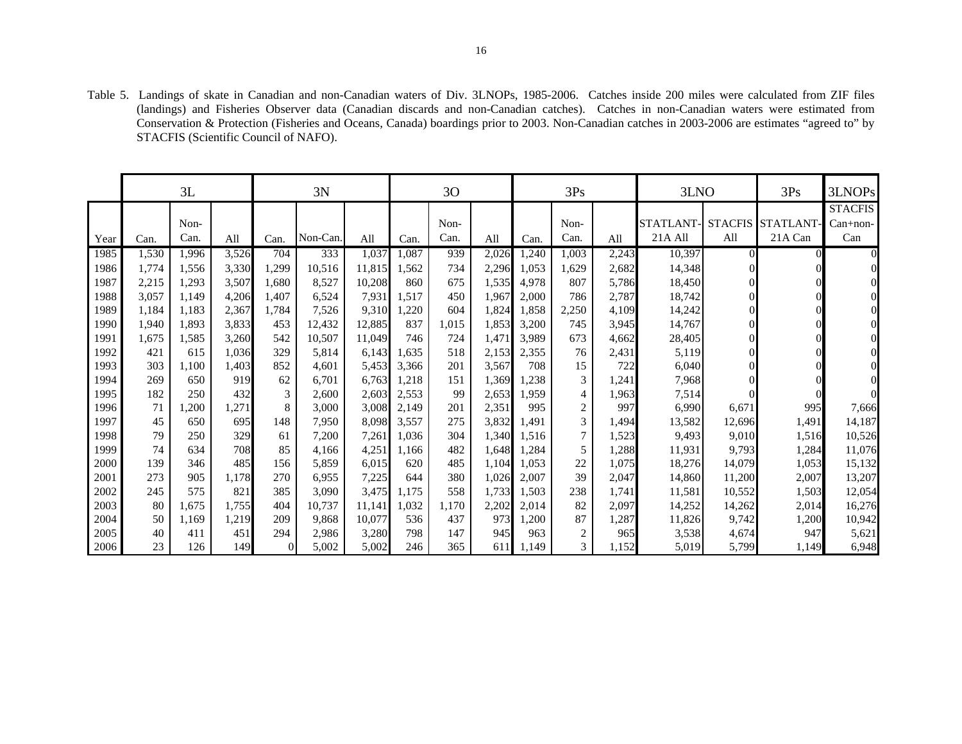Table 5. Landings of skate in Canadian and non-Canadian waters of Div. 3LNOPs, 1985-2006. Catches inside 200 miles were calculated from ZIF files (landings) and Fisheries Observer data (Canadian discards and non-Canadian catches). Catches in non-Canadian waters were estimated from Conservation & Protection (Fisheries and Oceans, Canada) boardings prior to 2003. Non-Canadian catches in 2003-2006 are estimates "agreed to" by STACFIS (Scientific Council of NAFO).

|      |       | 3L    |       |          | 3N       |        |       | 30    |       |       | 3Ps            |       | 3LNO      |                | 3Ps       | 3LNOPs         |
|------|-------|-------|-------|----------|----------|--------|-------|-------|-------|-------|----------------|-------|-----------|----------------|-----------|----------------|
|      |       |       |       |          |          |        |       |       |       |       |                |       |           |                |           | <b>STACFIS</b> |
|      |       | Non-  |       |          |          |        |       | Non-  |       |       | Non-           |       | STATLANT- | <b>STACFIS</b> | STATLANT- | $Can+non-$     |
| Year | Can.  | Can.  | All   | Can.     | Non-Can. | All    | Can.  | Can.  | All   | Can.  | Can.           | All   | 21A All   | All            | 21A Can   | Can            |
| 1985 | 1,530 | 1,996 | 3,526 | 704      | 333      | 1,037  | 1,087 | 939   | 2,026 | 1,240 | 1,003          | 2,243 | 10,397    | $\Omega$       |           |                |
| 1986 | 1.774 | 1,556 | 3,330 | 1,299    | 10.516   | 11,815 | 1.562 | 734   | 2,296 | 1,053 | 1,629          | 2,682 | 14,348    |                |           |                |
| 1987 | 2,215 | 1,293 | 3,507 | 1,680    | 8,527    | 10,208 | 860   | 675   | 1,535 | 4,978 | 807            | 5,786 | 18,450    |                |           |                |
| 1988 | 3,057 | 1.149 | 4,206 | 1,407    | 6,524    | 7,931  | 1,517 | 450   | 1,967 | 2,000 | 786            | 2,787 | 18,742    |                |           |                |
| 1989 | 1,184 | 1,183 | 2,367 | 1,784    | 7,526    | 9,310  | 1,220 | 604   | 1,824 | 1,858 | 2,250          | 4,109 | 14,242    |                |           |                |
| 1990 | 1,940 | 1,893 | 3,833 | 453      | 12,432   | 12,885 | 837   | 1,015 | 1,853 | 3,200 | 745            | 3,945 | 14,767    |                |           |                |
| 1991 | 1,675 | 1,585 | 3,260 | 542      | 10,507   | 11,049 | 746   | 724   | 1,471 | 3.989 | 673            | 4,662 | 28,405    |                |           |                |
| 1992 | 421   | 615   | 1,036 | 329      | 5,814    | 6,143  | 1,635 | 518   | 2,153 | 2,355 | 76             | 2,431 | 5,119     |                |           |                |
| 1993 | 303   | 1,100 | 1,403 | 852      | 4,601    | 5,453  | 3,366 | 201   | 3,567 | 708   | 15             | 722   | 6,040     |                |           |                |
| 1994 | 269   | 650   | 919   | 62       | 6,701    | 6,763  | 1,218 | 151   | 1,369 | 1,238 | 3              | 1,241 | 7,968     |                |           |                |
| 1995 | 182   | 250   | 432   | 3        | 2,600    | 2,603  | 2,553 | 99    | 2,653 | 1.959 | $\overline{4}$ | 1,963 | 7,514     |                |           |                |
| 1996 | 71    | 1,200 | 1,271 | 8        | 3,000    | 3,008  | 2,149 | 201   | 2,351 | 995   | $\overline{c}$ | 997   | 6,990     | 6,671          | 995       | 7,666          |
| 1997 | 45    | 650   | 695   | 148      | 7,950    | 8,098  | 3,557 | 275   | 3,832 | ,491  | 3              | 1,494 | 13,582    | 12,696         | 1,491     | 14,187         |
| 1998 | 79    | 250   | 329   | 61       | 7,200    | 7,261  | 1,036 | 304   | 1,340 | 1,516 | 7              | 1,523 | 9,493     | 9,010          | 1,516     | 10,526         |
| 1999 | 74    | 634   | 708   | 85       | 4.166    | 4,251  | 1.166 | 482   | 1,648 | 1,284 | 5              | 1,288 | 11,931    | 9,793          | 1,284     | 11,076         |
| 2000 | 139   | 346   | 485   | 156      | 5,859    | 6,015  | 620   | 485   | 1,104 | 1,053 | 22             | 1,075 | 18,276    | 14,079         | 1,053     | 15,132         |
| 2001 | 273   | 905   | 1,178 | 270      | 6,955    | 7,225  | 644   | 380   | 1,026 | 2,007 | 39             | 2,047 | 14,860    | 11,200         | 2,007     | 13,207         |
| 2002 | 245   | 575   | 821   | 385      | 3,090    | 3,475  | 1,175 | 558   | 1,733 | 1,503 | 238            | 1,741 | 11,581    | 10,552         | 1,503     | 12,054         |
| 2003 | 80    | 1,675 | 1,755 | 404      | 10,737   | 11,141 | 1,032 | 1,170 | 2,202 | 2,014 | 82             | 2,097 | 14,252    | 14,262         | 2,014     | 16,276         |
| 2004 | 50    | 1,169 | 1,219 | 209      | 9,868    | 10,077 | 536   | 437   | 973   | 1,200 | 87             | 1,287 | 11,826    | 9,742          | 1,200     | 10,942         |
| 2005 | 40    | 411   | 451   | 294      | 2,986    | 3,280  | 798   | 147   | 945   | 963   | 2              | 965   | 3,538     | 4,674          | 947       | 5,621          |
| 2006 | 23    | 126   | 149   | $\theta$ | 5,002    | 5,002  | 246   | 365   | 611   | 1,149 | $\mathfrak{Z}$ | 1,152 | 5,019     | 5,799          | 1,149     | 6,948          |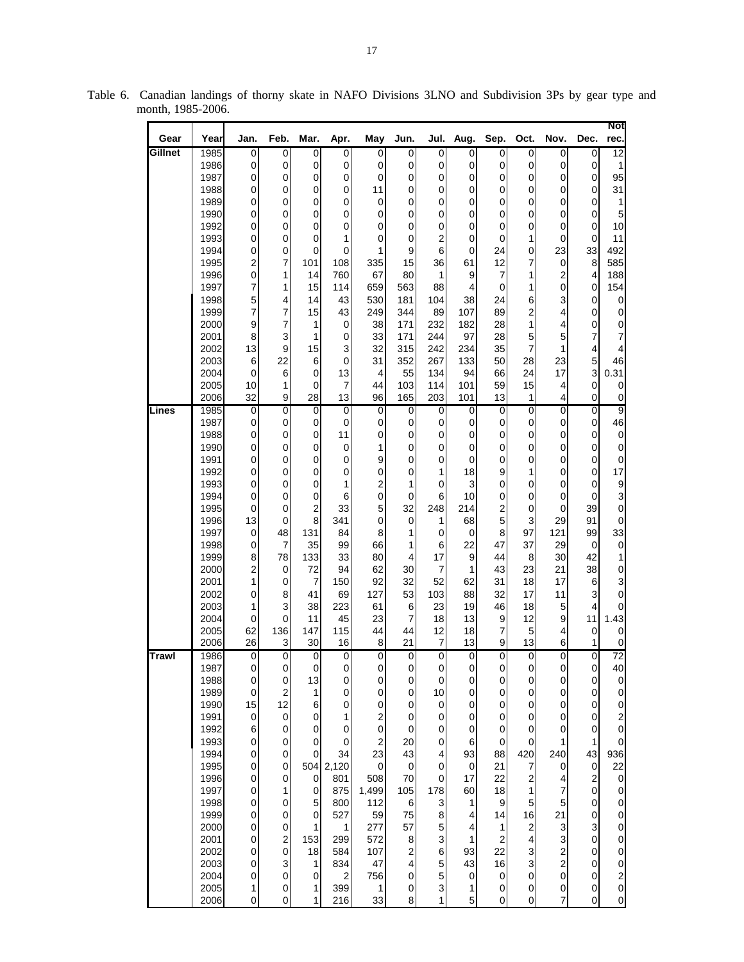| Gear         | Year         | Jan.                             | Feb.                         | Mar.                               | Apr.                 | May                              | Jun.             | Jul.                    | Aug.                             | Sep.                             | Oct.                     | Nov.                                  | Dec.                             | Not<br>rec.                           |
|--------------|--------------|----------------------------------|------------------------------|------------------------------------|----------------------|----------------------------------|------------------|-------------------------|----------------------------------|----------------------------------|--------------------------|---------------------------------------|----------------------------------|---------------------------------------|
| Gillnet      | 1985         | 0                                | 0                            | 0                                  | 0                    | 0                                | 0                | 0                       | 0                                | 0                                | 0                        | 0                                     | 0                                | $\overline{12}$                       |
|              | 1986         | $\overline{0}$                   | $\mathbf 0$                  | 0                                  | 0                    | $\Omega$                         | $\mathbf 0$      | 0                       | $\overline{0}$                   | 0                                | 0                        | $\mathbf 0$                           | 0                                | 1                                     |
|              | 1987<br>1988 | $\overline{0}$<br>$\overline{0}$ | 0<br>0                       | 0<br>0                             | 0<br>0               | $\Omega$<br>11                   | $\mathbf 0$<br>0 | 0<br>0                  | $\overline{0}$<br>$\overline{0}$ | $\overline{0}$<br>0              | $\mathbf 0$<br>0         | $\mathbf 0$<br>$\mathbf 0$            | $\overline{0}$<br>0              | 95<br>31                              |
|              | 1989         | 0                                | 0                            | 0                                  | 0                    | $\overline{0}$                   | 0                | 0                       | 0                                | 0                                | 0                        | $\overline{0}$                        | $\overline{0}$                   | 1                                     |
|              | 1990         | $\overline{0}$                   | $\mathbf 0$                  | 0                                  | 0                    | 0                                | 0                | 0                       | 0                                | 0                                | 0                        | 0                                     | $\overline{0}$                   | 5                                     |
|              | 1992         | $\overline{0}$                   | 0                            | 0                                  | 0                    | 0                                | 0                | 0                       | $\overline{0}$                   | 0                                | 0                        | $\mathbf 0$                           | 0                                | 10                                    |
|              | 1993         | $\overline{0}$                   | $\mathbf 0$                  | 0                                  | 1                    | $\overline{0}$                   | 0<br>9           | $\overline{\mathbf{c}}$ | 0                                | 0                                | 1                        | 0                                     | 0                                | 11                                    |
|              | 1994<br>1995 | 0<br>2                           | $\mathbf 0$<br>7             | 0<br>101                           | 0<br>108             | 1<br>335                         | 15               | 6<br>36                 | 0<br>61                          | 24<br>12                         | 0<br>7                   | 23<br>0                               | 33<br>8                          | 492<br>585                            |
|              | 1996         | $\overline{0}$                   | 1                            | 14                                 | 760                  | 67                               | 80               | 1                       | 9                                | $\overline{7}$                   | 1                        | $\boldsymbol{2}$                      | $\vert 4 \vert$                  | 188                                   |
|              | 1997         | 7                                | 1                            | 15                                 | 114                  | 659                              | 563              | 88                      | 4                                | $\pmb{0}$                        | 1                        | 0                                     | 0                                | 154                                   |
|              | 1998         | 5 <sup>1</sup>                   | 4                            | 14                                 | 43                   | 530                              | 181              | 104                     | 38                               | 24                               | 6                        | 3                                     | 0                                | $\boldsymbol{0}$                      |
|              | 1999<br>2000 | 7<br>9                           | 7<br>7                       | 15<br>1                            | 43<br>0              | 249<br>38                        | 344<br>171       | 89<br>232               | 107<br>182                       | 89<br>28                         | 2<br>1                   | 4<br>4                                | 0<br>$\overline{0}$              | 0<br>$\pmb{0}$                        |
|              | 2001         | 8                                | 3                            | 1                                  | $\mathbf 0$          | 33                               | 171              | 244                     | 97                               | 28                               | 5                        | 5                                     | 7                                | $\overline{7}$                        |
|              | 2002         | 13                               | 9                            | 15                                 | 3                    | 32                               | 315              | 242                     | 234                              | 35                               | 7                        | 1                                     | 4                                | 4                                     |
|              | 2003         | 6                                | 22                           | 6                                  | 0                    | 31                               | 352              | 267                     | 133                              | 50                               | 28                       | 23                                    | 5                                | 46                                    |
|              | 2004         | $\overline{0}$                   | 6                            | $\overline{0}$                     | 13                   | 4                                | 55               | 134                     | 94                               | 66                               | 24                       | 17                                    | $\overline{3}$                   | 0.31                                  |
|              | 2005<br>2006 | 10 <sup>1</sup><br>32            | 1<br>9                       | 0<br>28                            | $\overline{7}$<br>13 | 44<br>96                         | 103<br>165       | 114<br>203              | 101<br>101                       | 59<br>13                         | 15<br>1                  | 4<br>4                                | 0<br>0                           | 0<br>$\pmb{0}$                        |
| Lines        | 1985         | $\overline{0}$                   | $\overline{0}$               | $\mathbf 0$                        | $\overline{0}$       | $\pmb{0}$                        | $\mathbf 0$      | $\overline{0}$          | $\mathbf 0$                      | $\overline{0}$                   | $\overline{0}$           | ō                                     | $\overline{0}$                   | $\overline{9}$                        |
|              | 1987         | $\overline{0}$                   | 0                            | $\pmb{0}$                          | $\mathbf 0$          | $\overline{0}$                   | 0                | 0                       | 0                                | $\overline{0}$                   | $\mathbf 0$              | $\mathbf 0$                           | $\overline{0}$                   | 46                                    |
|              | 1988         | $\overline{0}$                   | $\mathbf 0$                  | 0                                  | 11                   | $\overline{0}$                   | $\mathbf 0$      | 0                       | $\overline{0}$                   | 0                                | 0                        | $\mathbf 0$                           | 0                                | $\pmb{0}$                             |
|              | 1990         | $\overline{0}$                   | $\mathbf 0$                  | 0                                  | $\mathbf 0$          | $\mathbf{1}$                     | 0                | 0                       | 0                                | 0                                | 0                        | $\pmb{0}$                             | $\overline{0}$                   | $\pmb{0}$                             |
|              | 1991<br>1992 | $\overline{0}$<br>$\overline{0}$ | 0<br>0                       | 0<br>0                             | 0<br>0               | 9<br>$\pmb{0}$                   | $\mathbf 0$<br>0 | 0<br>1                  | $\overline{0}$<br>18             | 0<br>9                           | 0<br>1                   | $\mathbf 0$<br>$\mathbf 0$            | 0<br>0                           | $\pmb{0}$<br>17                       |
|              | 1993         | 0                                | 0                            | 0                                  | 1                    | 2                                | 1                | 0                       | 3                                | 0                                | 0                        | 0                                     | 0                                | $\boldsymbol{9}$                      |
|              | 1994         | $\overline{0}$                   | 0                            | $\mathbf 0$                        | 6                    | $\overline{0}$                   | $\mathbf 0$      | 6                       | 10                               | 0                                | 0                        | $\mathbf 0$                           | 0                                | 3                                     |
|              | 1995         | 0                                | $\mathbf 0$                  | $\mathbf 2$                        | 33                   | $5\overline{)}$                  | 32               | 248                     | 214                              | $\overline{\mathbf{c}}$          | $\mathbf 0$              | 0                                     | 39                               | $\mathbf 0$                           |
|              | 1996<br>1997 | 13<br>$\overline{0}$             | 0<br>48                      | 8<br>131                           | 341<br>84            | 0<br>8                           | 0<br>1           | 1<br>0                  | 68                               | 5<br>8                           | 3<br>97                  | 29<br>121                             | 91<br>99                         | 0<br>33                               |
|              | 1998         | $\overline{0}$                   | 7                            | 35                                 | 99                   | 66                               | 1                | 6                       | 0<br>22                          | 47                               | 37                       | 29                                    | $\overline{0}$                   | $\boldsymbol{0}$                      |
|              | 1999         | 8                                | 78                           | 133                                | 33                   | 80                               | 4                | 17                      | 9                                | 44                               | 8                        | 30                                    | 42                               | 1                                     |
|              | 2000         | $\overline{\mathbf{c}}$          | 0                            | 72                                 | 94                   | 62                               | 30               | 7                       | 1                                | 43                               | 23                       | 21                                    | 38                               | $\pmb{0}$                             |
|              | 2001         | 1                                | $\mathbf 0$                  | 7                                  | 150                  | 92                               | 32               | 52                      | 62                               | 31                               | 18                       | 17                                    | $6 \mid$                         | 3                                     |
|              | 2002<br>2003 | 0<br>1                           | 8<br>3                       | 41<br>38                           | 69<br>223            | 127<br>61                        | 53<br>6          | 103<br>23               | 88<br>19                         | 32<br>46                         | 17<br>18                 | 11<br>5                               | $\overline{3}$<br>4              | $\mathbf 0$<br>$\pmb{0}$              |
|              | 2004         | 0                                | $\mathbf 0$                  | 11                                 | 45                   | 23                               | $\overline{7}$   | 18                      | 13                               | 9                                | 12                       | 9                                     | 11                               | 1.43                                  |
|              | 2005         | 62                               | 136                          | 147                                | 115                  | 44                               | 44               | 12                      | 18                               | 7                                | 5                        | 4                                     | 0                                | $\mathbf 0$                           |
|              | 2006         | 26                               | 3                            | 30                                 | 16                   | 8                                | 21               | 7                       | 13                               | 9                                | 13                       | 6                                     | 1                                | 0                                     |
| <b>Trawl</b> | 1986<br>1987 | $\overline{0}$<br>0              | $\overline{\mathbf{0}}$<br>0 | $\overline{0}$<br>$\overline{0}$   | 0                    | $\overline{0}$<br>$\overline{0}$ | 0                | $\overline{0}$          | $\overline{0}$<br>$\overline{0}$ | $\overline{0}$                   | 0                        | 0<br>0                                | 0<br>$\overline{0}$              | 72<br>40                              |
|              | 1988         | $\overline{0}$                   | $\mathbf 0$                  | 13                                 | 0<br>0               | $\overline{0}$                   | 0<br>$\mathbf 0$ | 0<br>0                  | $\overline{0}$                   | $\overline{0}$<br>$\overline{0}$ | 0<br>$\mathsf{O}\xspace$ | $\pmb{0}$                             | $\overline{0}$                   | $\pmb{0}$                             |
|              | 1989         | $\overline{0}$                   | $\boldsymbol{2}$             | 1                                  | 0                    | 0                                | 0                | 10                      | $\overline{0}$                   | $\overline{0}$                   | 0                        | $\mathbf 0$                           | $\overline{0}$                   | $\mathbf 0$                           |
|              | 1990         | 15                               | 12                           | 6                                  | 0                    | $\overline{0}$                   | 0                | 0                       | $\overline{0}$                   | 0                                | 0                        | $\pmb{0}$                             | $\overline{0}$                   | $\mathbf 0$                           |
|              | 1991         | $\overline{0}$                   | 0                            | 0                                  | 1                    | $\mathbf{2}$                     | 0                | 0                       | $\overline{0}$                   | 0                                | 0                        | 0                                     | $\overline{0}$                   | $\overline{\mathbf{c}}$               |
|              | 1992<br>1993 | $6 \,$<br>$\overline{0}$         | 0<br>$\mathbf 0$             | 0<br>0                             | 0<br>0               | $\overline{0}$<br>$\overline{2}$ | 0<br>20          | 0<br>0                  | $\overline{0}$<br>6              | $\pmb{0}$<br>$\pmb{0}$           | 0<br>$\pmb{0}$           | $\mathbf 0$<br>1                      | $\overline{0}$<br>1              | $\mathbf 0$<br>$\mathbf 0$            |
|              | 1994         | $\overline{0}$                   | $\mathbf 0$                  | $\mathbf 0$                        | 34                   | 23                               | 43               | 4                       | 93                               | 88                               | 420                      | 240                                   | 43                               | 936                                   |
|              | 1995         | $\overline{0}$                   | $\mathbf 0$                  | 504                                | 2,120                | $\mathbf 0$                      | $\pmb{0}$        | 0                       | $\overline{0}$                   | 21                               | 7                        | $\mathbf 0$                           | $\overline{0}$                   | 22                                    |
|              | 1996         | $\overline{0}$                   | 0                            | $\pmb{0}$                          | 801                  | 508                              | 70               | 0                       | 17                               | 22                               | 2                        | 4                                     | $\mathbf{2}$                     | $\pmb{0}$                             |
|              | 1997<br>1998 | 0<br>$\overline{0}$              | 1                            | $\boldsymbol{0}$<br>5 <sup>1</sup> | 875<br>800           | 1,499<br>112                     | 105<br>6         | 178<br>3                | 60                               | 18<br>$\overline{9}$             | 1<br>5                   | 7<br>5                                | $\overline{0}$<br>$\overline{0}$ | $\pmb{0}$<br>$\mathbf 0$              |
|              | 1999         | $\overline{0}$                   | 0<br>0                       | $\overline{0}$                     | 527                  | 59                               | 75               | 8                       | 1<br>4                           | 14                               | 16                       | 21                                    | $\overline{0}$                   | $\mathbf 0$                           |
|              | 2000         | 0                                | $\pmb{0}$                    | 1                                  | 1                    | 277                              | 57               | 5                       | 4                                | 1                                | 2                        | 3                                     | $\overline{3}$                   | $\mathbf 0$                           |
|              | 2001         | $\overline{0}$                   | $\overline{\mathbf{c}}$      | 153                                | 299                  | 572                              | 8                | 3                       | 1                                | $\overline{c}$                   | 4                        | $\mathbf{3}$                          | $\mathbf{0}$                     | $\mathbf 0$                           |
|              | 2002         | $\overline{0}$                   | $\mathbf 0$                  | 18                                 | 584                  | 107                              | $\overline{2}$   | 6                       | 93                               | 22                               | 3                        | $\overline{\mathbf{c}}$               | $\overline{0}$                   | $\mathbf 0$                           |
|              | 2003<br>2004 | 0<br>$\overline{0}$              | 3<br>$\mathbf 0$             | 1<br>$\pmb{0}$                     | 834<br>2             | 47<br>756                        | 4<br>$\mathbf 0$ | 5<br>5                  | 43<br>0                          | 16<br>$\overline{0}$             | 3<br>$\mathsf{O}\xspace$ | $\overline{c}$<br>$\mathsf{O}\xspace$ | $\overline{0}$<br>$\overline{0}$ | $\mathbf 0$                           |
|              | 2005         | 1                                | 0                            | 1                                  | 399                  | $\mathbf{1}$                     | 0                | 3                       | 1                                | 0                                | 0                        | $\pmb{0}$                             | 0                                | $\begin{array}{c} 2 \\ 0 \end{array}$ |
|              | 2006         | $\overline{0}$                   | 0                            | 1                                  | 216                  | 33                               | 8                | 1                       | 5                                | 0                                | 0                        | 7                                     | $\overline{0}$                   | $\mathbf 0$                           |

Table 6. Canadian landings of thorny skate in NAFO Divisions 3LNO and Subdivision 3Ps by gear type and month, 1985-2006.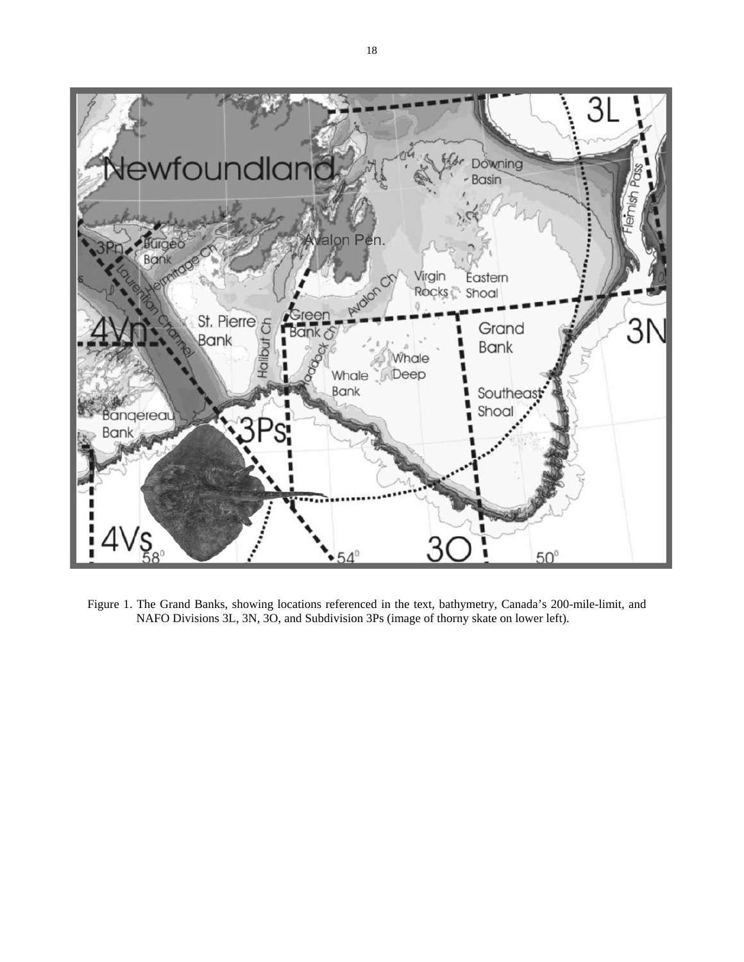

Figure 1. The Grand Banks, showing locations referenced in the text, bathymetry, Canada's 200-mile-limit, and NAFO Divisions 3L, 3N, 3O, and Subdivision 3Ps (image of thorny skate on lower left).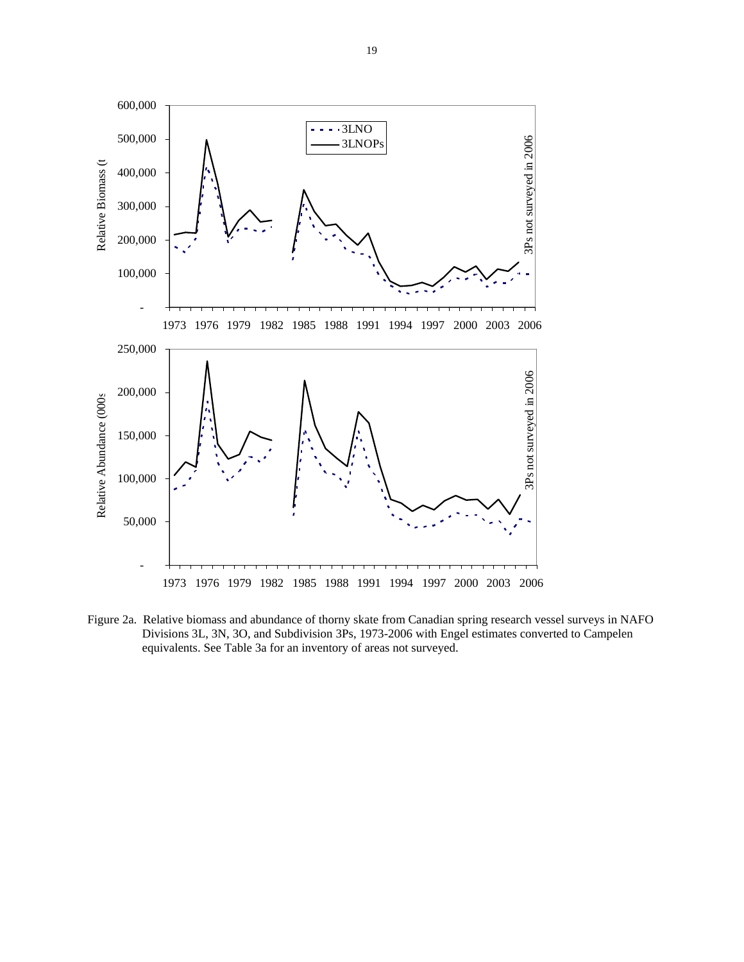

Figure 2a. Relative biomass and abundance of thorny skate from Canadian spring research vessel surveys in NAFO Divisions 3L, 3N, 3O, and Subdivision 3Ps, 1973-2006 with Engel estimates converted to Campelen equivalents. See Table 3a for an inventory of areas not surveyed.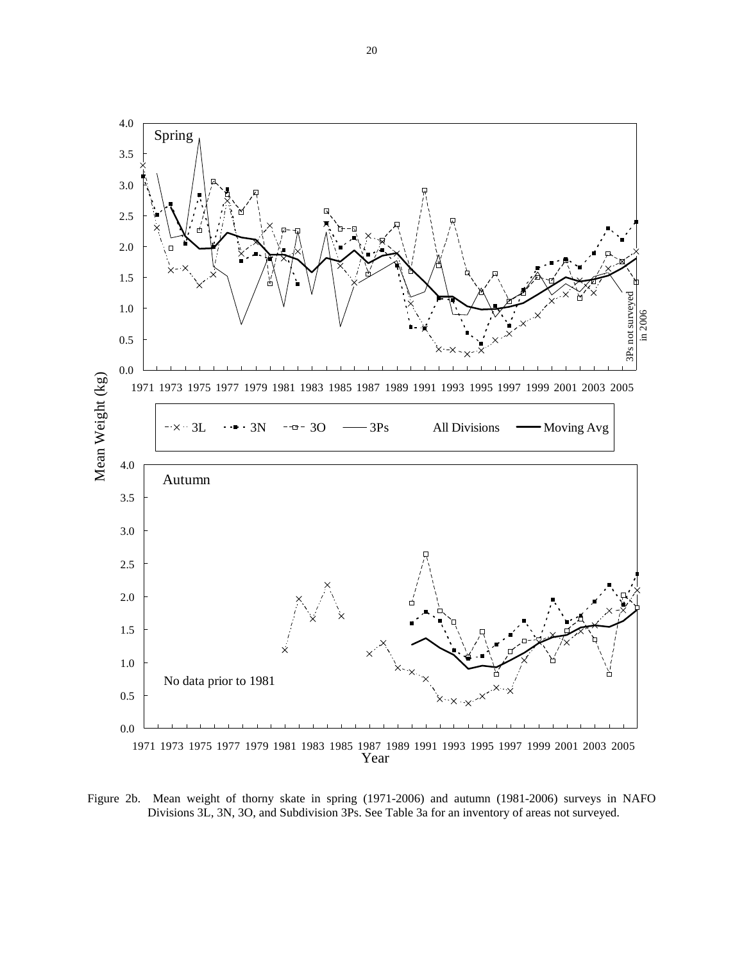

Figure 2b. Mean weight of thorny skate in spring (1971-2006) and autumn (1981-2006) surveys in NAFO Divisions 3L, 3N, 3O, and Subdivision 3Ps. See Table 3a for an inventory of areas not surveyed.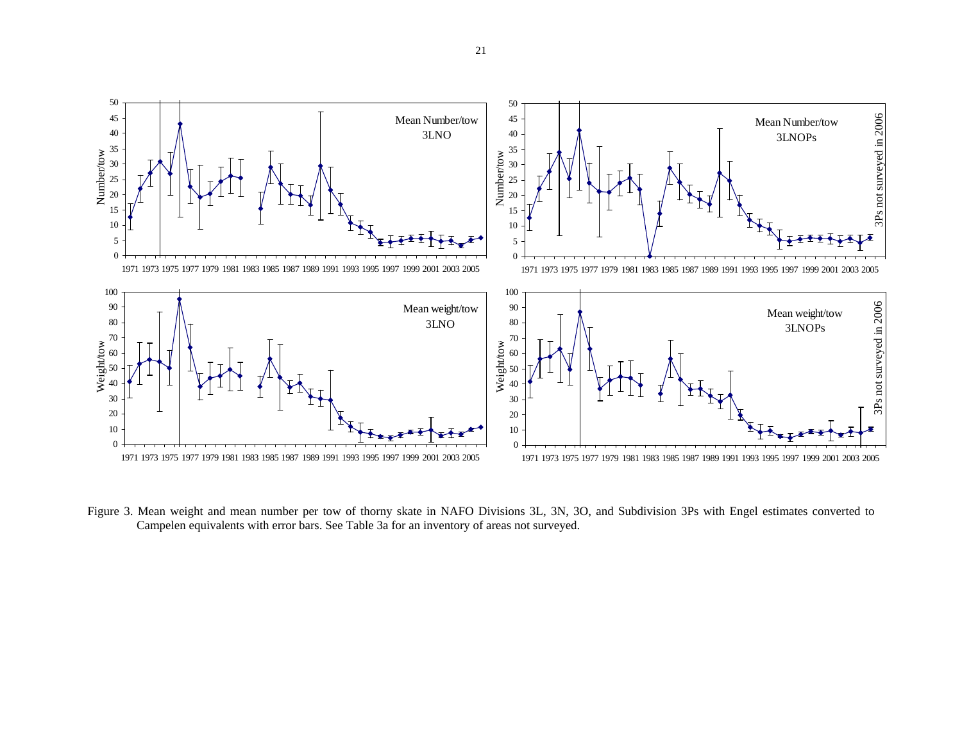

Figure 3. Mean weight and mean number per tow of thorny skate in NAFO Divisions 3L, 3N, 3O, and Subdivision 3Ps with Engel estimates converted to Campelen equivalents with error bars. See Table 3a for an inventory of areas not surveyed.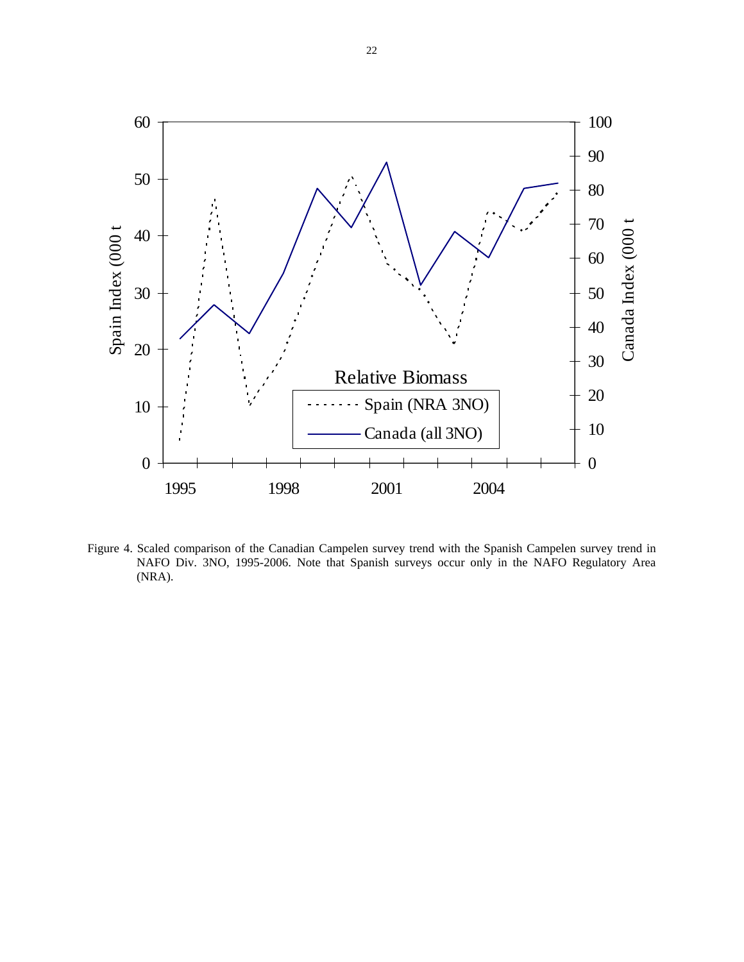

Figure 4. Scaled comparison of the Canadian Campelen survey trend with the Spanish Campelen survey trend in NAFO Div. 3NO, 1995-2006. Note that Spanish surveys occur only in the NAFO Regulatory Area (NRA).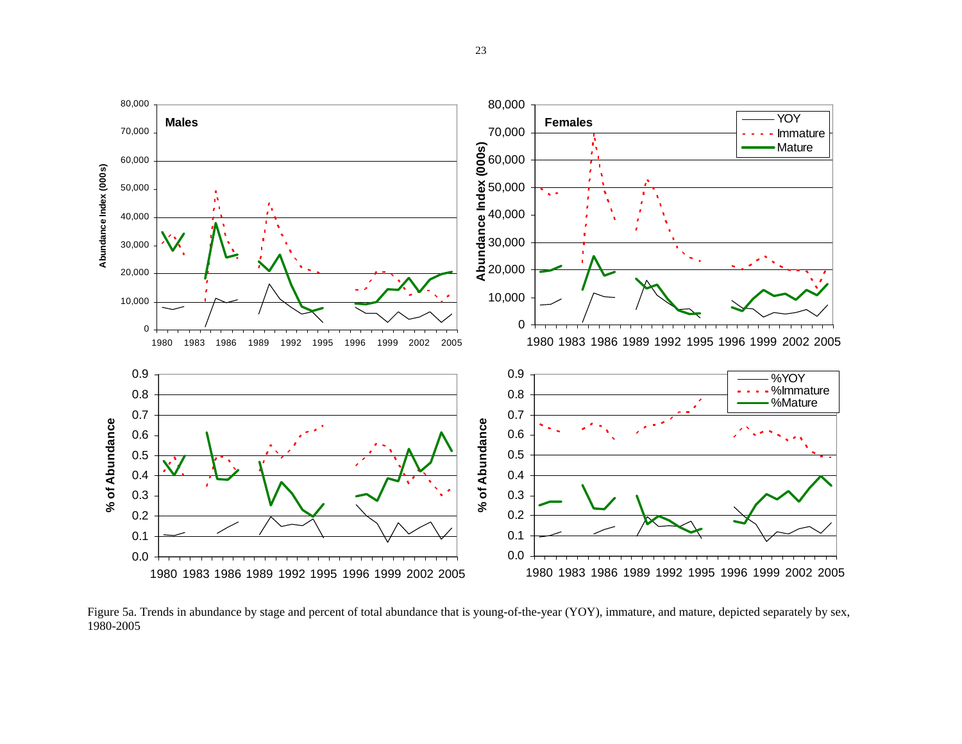

Figure 5a. Trends in abundance by stage and percent of total abundance that is young-of-the-year (YOY), immature, and mature, depicted separately by sex, 1980-2005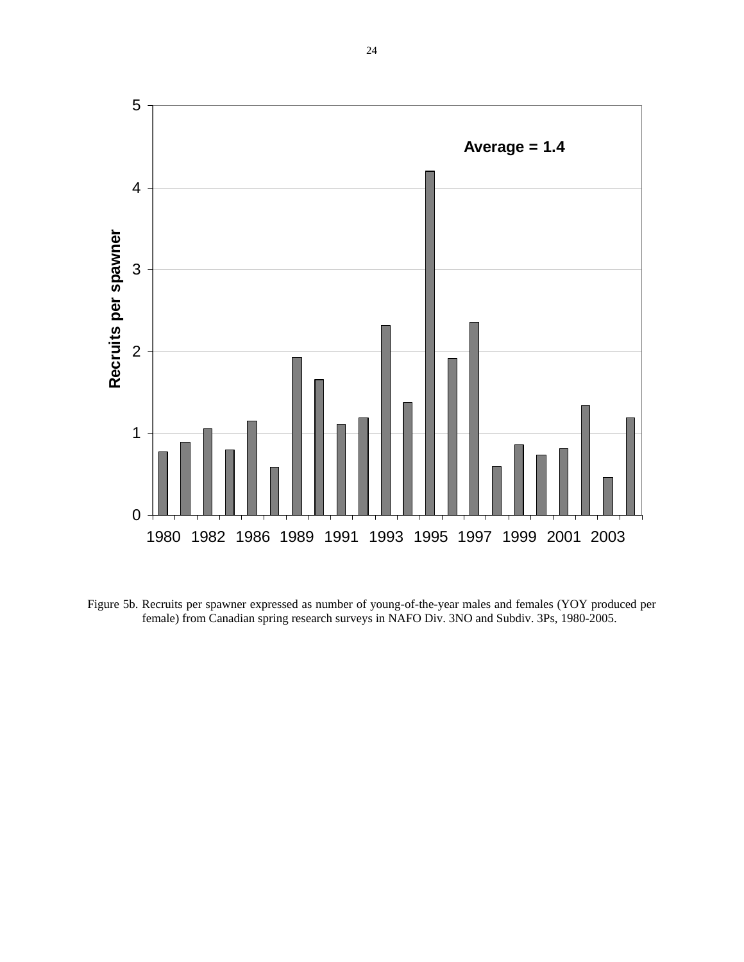

Figure 5b. Recruits per spawner expressed as number of young-of-the-year males and females (YOY produced per female) from Canadian spring research surveys in NAFO Div. 3NO and Subdiv. 3Ps, 1980-2005.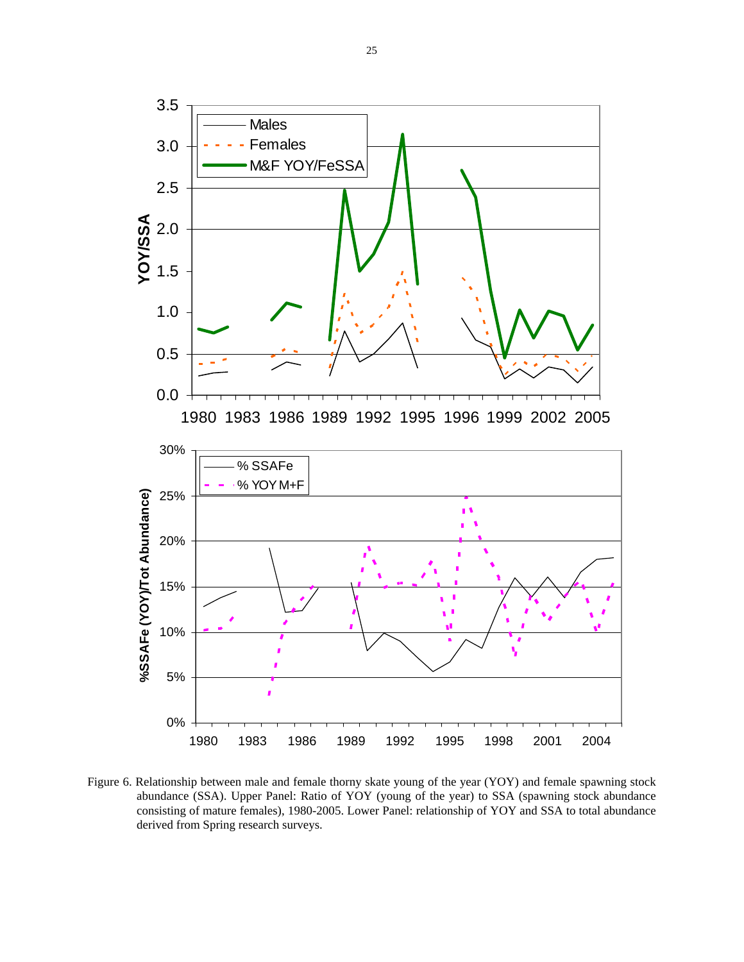

Figure 6. Relationship between male and female thorny skate young of the year (YOY) and female spawning stock abundance (SSA). Upper Panel: Ratio of YOY (young of the year) to SSA (spawning stock abundance consisting of mature females), 1980-2005. Lower Panel: relationship of YOY and SSA to total abundance derived from Spring research surveys.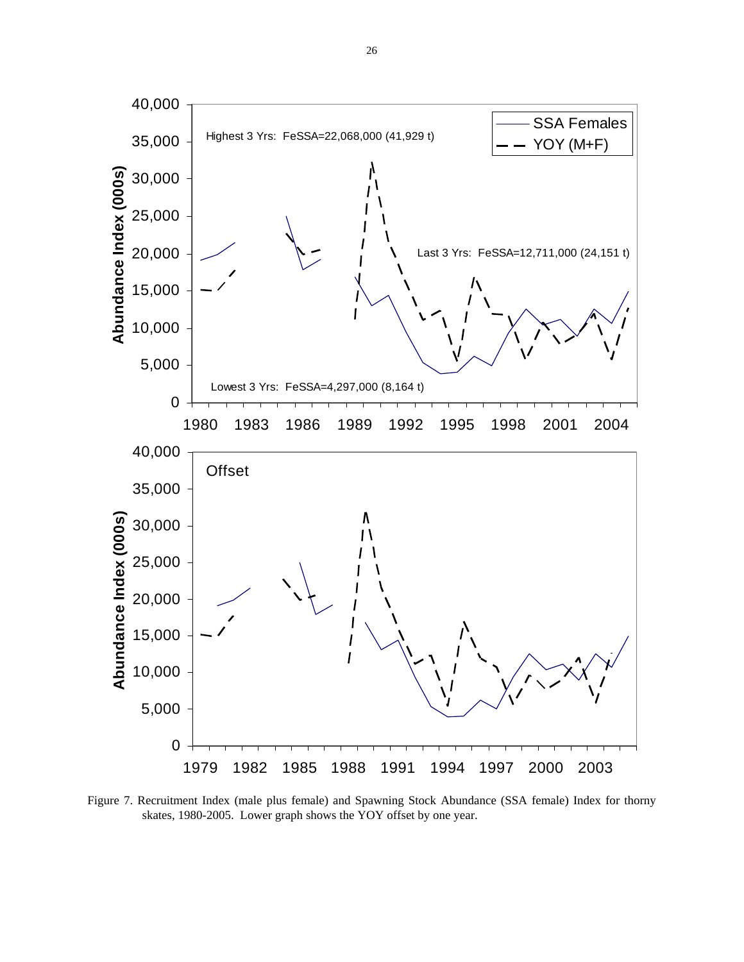

Figure 7. Recruitment Index (male plus female) and Spawning Stock Abundance (SSA female) Index for thorny skates, 1980-2005. Lower graph shows the YOY offset by one year.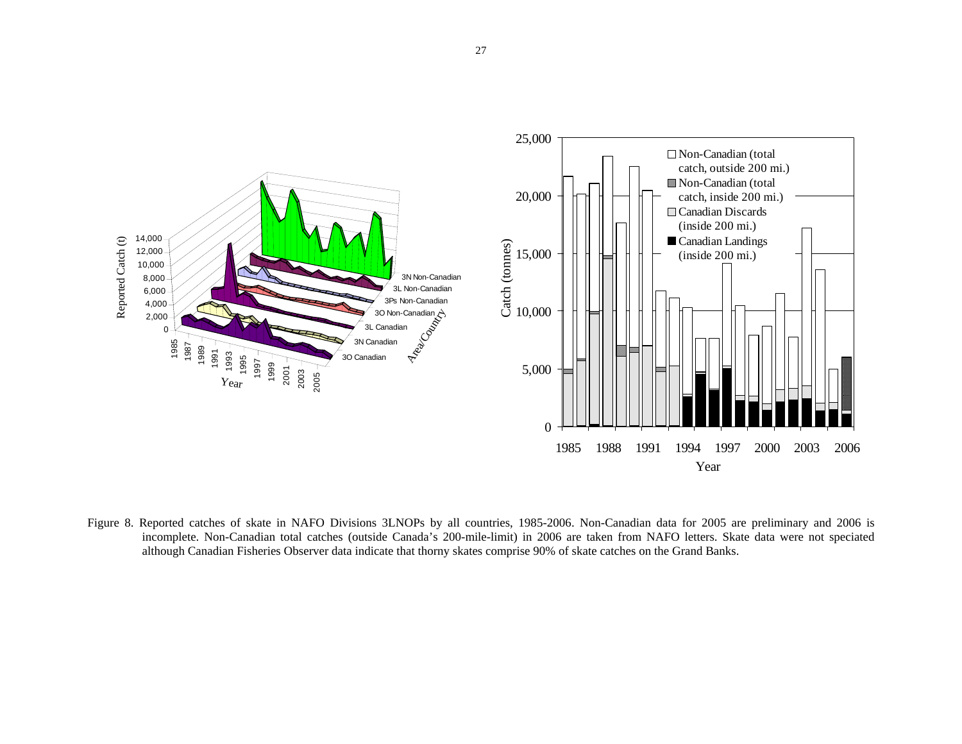

Figure 8. Reported catches of skate in NAFO Divisions 3LNOPs by all countries, 1985-2006. Non-Canadian data for 2005 are preliminary and 2006 is incomplete. Non-Canadian total catches (outside Canada's 200-mile-limit) in 2006 are taken from NAFO letters. Skate data were not speciated although Canadian Fisheries Observer data indicate that thorny skates comprise 90% of skate catches on the Grand Banks.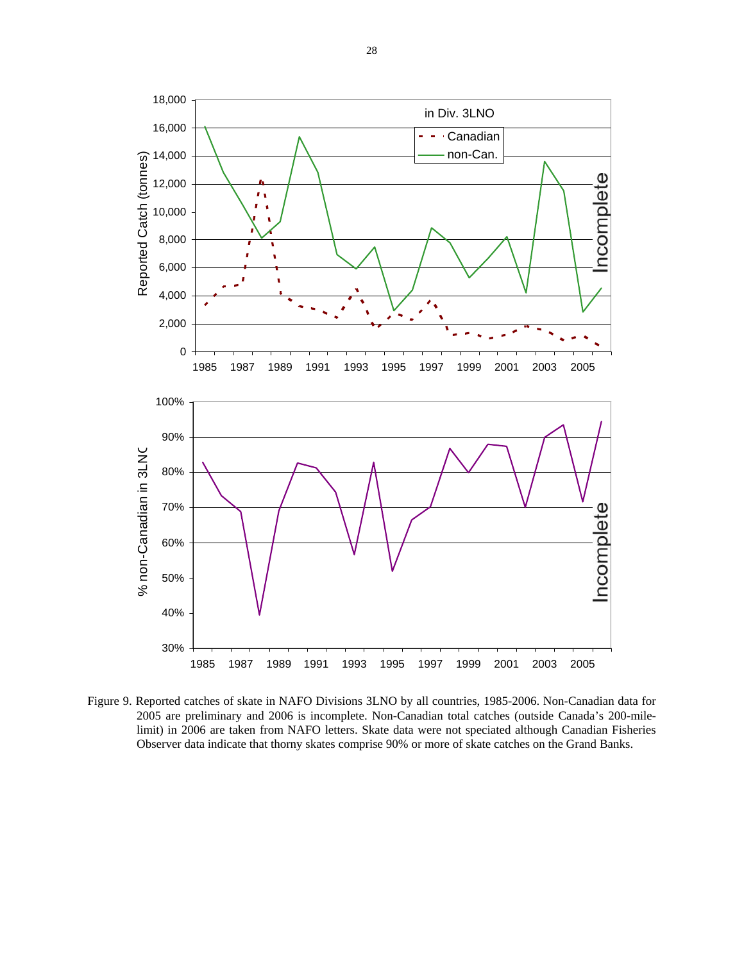![](_page_27_Figure_0.jpeg)

Figure 9. Reported catches of skate in NAFO Divisions 3LNO by all countries, 1985-2006. Non-Canadian data for 2005 are preliminary and 2006 is incomplete. Non-Canadian total catches (outside Canada's 200-milelimit) in 2006 are taken from NAFO letters. Skate data were not speciated although Canadian Fisheries Observer data indicate that thorny skates comprise 90% or more of skate catches on the Grand Banks.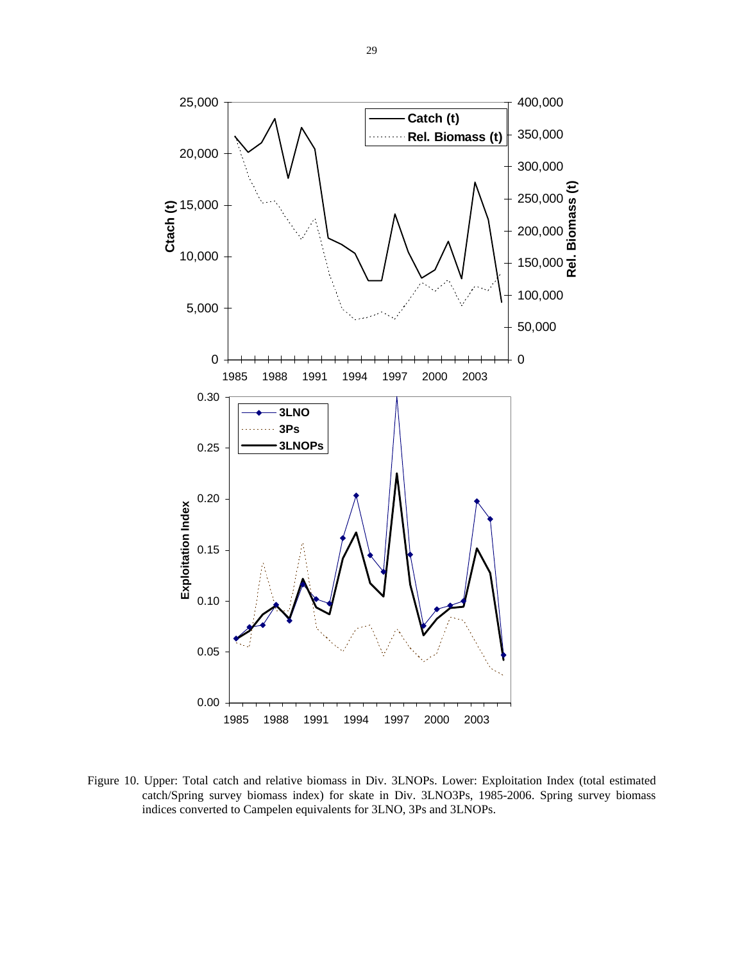![](_page_28_Figure_0.jpeg)

![](_page_28_Figure_1.jpeg)

Figure 10. Upper: Total catch and relative biomass in Div. 3LNOPs. Lower: Exploitation Index (total estimated catch/Spring survey biomass index) for skate in Div. 3LNO3Ps, 1985-2006. Spring survey biomass indices converted to Campelen equivalents for 3LNO, 3Ps and 3LNOPs.